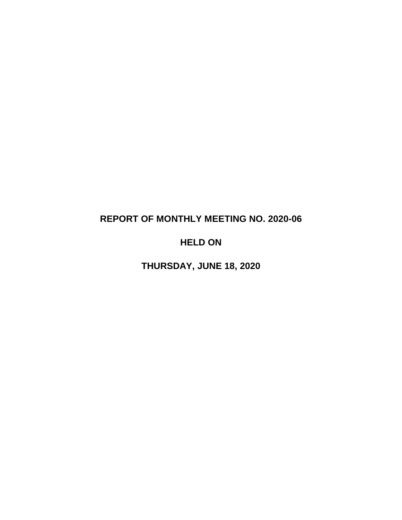# **REPORT OF MONTHLY MEETING NO. 2020-06**

## **HELD ON**

**THURSDAY, JUNE 18, 2020**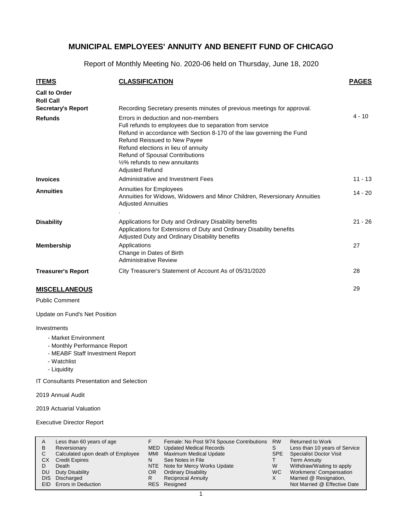Report of Monthly Meeting No. 2020-06 held on Thursday, June 18, 2020

| <b>ITEMS</b>                             | <b>CLASSIFICATION</b>                                                                                                                                                                                                                                                                                                                                                     | <b>PAGES</b> |
|------------------------------------------|---------------------------------------------------------------------------------------------------------------------------------------------------------------------------------------------------------------------------------------------------------------------------------------------------------------------------------------------------------------------------|--------------|
| <b>Call to Order</b><br><b>Roll Call</b> |                                                                                                                                                                                                                                                                                                                                                                           |              |
| <b>Secretary's Report</b>                | Recording Secretary presents minutes of previous meetings for approval.                                                                                                                                                                                                                                                                                                   | $4 - 10$     |
| <b>Refunds</b>                           | Errors in deduction and non-members<br>Full refunds to employees due to separation from service<br>Refund in accordance with Section 8-170 of the law governing the Fund<br><b>Refund Reissued to New Payee</b><br>Refund elections in lieu of annuity<br><b>Refund of Spousal Contributions</b><br>1/ <sub>2</sub> % refunds to new annuitants<br><b>Adjusted Refund</b> |              |
| <b>Invoices</b>                          | Administrative and Investment Fees                                                                                                                                                                                                                                                                                                                                        | $11 - 13$    |
| <b>Annuities</b>                         | <b>Annuities for Employees</b><br>Annuities for Widows, Widowers and Minor Children, Reversionary Annuities<br><b>Adjusted Annuities</b>                                                                                                                                                                                                                                  | $14 - 20$    |
| <b>Disability</b>                        | Applications for Duty and Ordinary Disability benefits<br>Applications for Extensions of Duty and Ordinary Disability benefits<br>Adjusted Duty and Ordinary Disability benefits                                                                                                                                                                                          | $21 - 26$    |
| <b>Membership</b>                        | Applications<br>Change in Dates of Birth<br><b>Administrative Review</b>                                                                                                                                                                                                                                                                                                  | 27           |
| <b>Treasurer's Report</b>                | City Treasurer's Statement of Account As of 05/31/2020                                                                                                                                                                                                                                                                                                                    | 28           |
| <b>MISCELLANEOUS</b>                     |                                                                                                                                                                                                                                                                                                                                                                           | 29           |

#### **MISCELLANEOUS**

Public Comment

Update on Fund's Net Position

#### Investments

- Market Environment
- Monthly Performance Report
- MEABF Staff Investment Report
- Watchlist
- Liquidity

IT Consultants Presentation and Selection

2019 Annual Audit

2019 Actuarial Valuation

Executive Director Report

| A<br>в     | Less than 60 years of age<br>Reversionary |     | Female: No Post 9/74 Spouse Contributions<br>MED Updated Medical Records | <b>RW</b> | <b>Returned to Work</b><br>Less than 10 years of Service |
|------------|-------------------------------------------|-----|--------------------------------------------------------------------------|-----------|----------------------------------------------------------|
| С          | Calculated upon death of Employee         | MMI | <b>Maximum Medical Update</b>                                            | SPE.      | <b>Specialist Doctor Visit</b>                           |
| СX         | <b>Credit Expires</b>                     | N   | See Notes in File                                                        |           | <b>Term Annuity</b>                                      |
| D          | Death                                     |     | NTE Note for Mercy Works Update                                          | W         | Withdraw/Waiting to apply                                |
| DU         | Duty Disability                           | OR. | <b>Ordinary Disability</b>                                               | WC.       | Workmens' Compensation                                   |
| <b>DIS</b> | Discharged                                | R   | <b>Reciprocal Annuity</b>                                                |           | Married @ Resignation,                                   |
|            | EID Errors in Deduction                   |     | RES Resigned                                                             |           | Not Married @ Effective Date                             |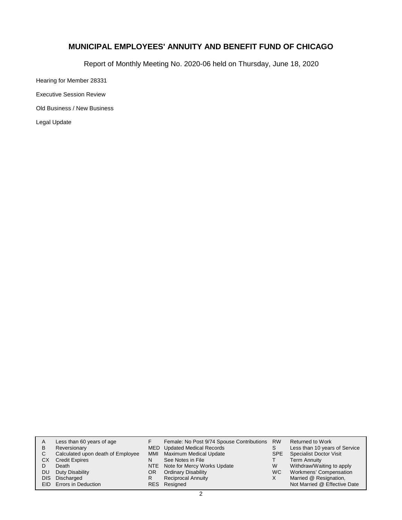Report of Monthly Meeting No. 2020-06 held on Thursday, June 18, 2020

Hearing for Member 28331

Executive Session Review

Old Business / New Business

Legal Update

| A    | Less than 60 years of age         |     | Female: No Post 9/74 Spouse Contributions RW |            | <b>Returned to Work</b>        |
|------|-----------------------------------|-----|----------------------------------------------|------------|--------------------------------|
| В    | Reversionary                      |     | MED Updated Medical Records                  | S          | Less than 10 years of Service  |
| С    | Calculated upon death of Employee | MMI | Maximum Medical Update                       | <b>SPE</b> | <b>Specialist Doctor Visit</b> |
| СX   | <b>Credit Expires</b>             | N   | See Notes in File                            |            | <b>Term Annuity</b>            |
|      | Death                             |     | NTE Note for Mercy Works Update              | W          | Withdraw/Waiting to apply      |
| DU   | Duty Disability                   | OR. | <b>Ordinary Disability</b>                   | WC.        | Workmens' Compensation         |
| DIS. | Discharged                        |     | <b>Reciprocal Annuity</b>                    | х          | Married @ Resignation,         |
|      | EID Errors in Deduction           |     | RES Resigned                                 |            | Not Married @ Effective Date   |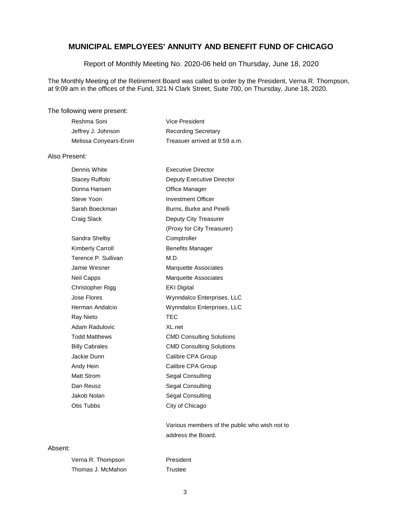Report of Monthly Meeting No. 2020-06 held on Thursday, June 18, 2020

The Monthly Meeting of the Retirement Board was called to order by the President, Verna R. Thompson, at 9:09 am in the offices of the Fund, 321 N Clark Street, Suite 700, on Thursday, June 18, 2020.

The following were present:

| Reshma Soni            | Vice President                |
|------------------------|-------------------------------|
| Jeffrey J. Johnson     | <b>Recording Secretary</b>    |
| Melissa Conyears-Ervin | Treasuer arrived at 9:59 a.m. |

#### Also Present:

| Dennis White            | <b>Executive Director</b>       |
|-------------------------|---------------------------------|
| Stacey Ruffolo          | Deputy Executive Director       |
| Donna Hansen            | Office Manager                  |
| Steve Yoon              | <b>Investment Officer</b>       |
| Sarah Boeckman          | Burns, Burke and Pinelli        |
| Craig Slack             | Deputy City Treasurer           |
|                         | (Proxy for City Treasurer)      |
| Sandra Shelby           | Comptroller                     |
| <b>Kimberly Carroll</b> | <b>Benefits Manager</b>         |
| Terence P. Sullivan     | M.D.                            |
| Jamie Wesner            | Marquette Associates            |
| Neil Capps              | Marquette Associates            |
| Christopher Rigg        | <b>EKI Digital</b>              |
| Jose Flores             | Wynndalco Enterprises, LLC      |
| Herman Andalcio         | Wynndalco Enterprises, LLC      |
| Ray Nieto               | <b>TEC</b>                      |
| Adam Radulovic          | XL.net                          |
| <b>Todd Matthews</b>    | <b>CMD Consulting Solutions</b> |
| <b>Billy Cabrales</b>   | <b>CMD Consulting Solutions</b> |
| Jackie Dunn             | Calibre CPA Group               |
| Andy Hein               | Calibre CPA Group               |
| Matt Strom              | Segal Consulting                |
| Dan Reusz               | Segal Consulting                |
| Jakob Nolan             | Segal Consulting                |
| Otis Tubbs              | City of Chicago                 |

Various members of the public who wish not to address the Board.

### Absent:

| Verna R. Thompson | President |
|-------------------|-----------|
| Thomas J. McMahon | Trustee   |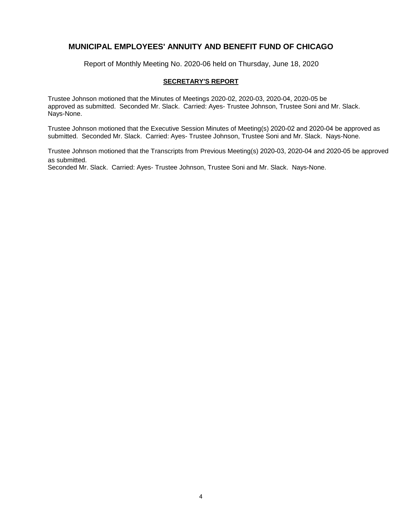Report of Monthly Meeting No. 2020-06 held on Thursday, June 18, 2020

### **SECRETARY'S REPORT**

Trustee Johnson motioned that the Minutes of Meetings 2020-02, 2020-03, 2020-04, 2020-05 be approved as submitted. Seconded Mr. Slack. Carried: Ayes- Trustee Johnson, Trustee Soni and Mr. Slack. Nays-None.

Trustee Johnson motioned that the Executive Session Minutes of Meeting(s) 2020-02 and 2020-04 be approved as submitted. Seconded Mr. Slack. Carried: Ayes- Trustee Johnson, Trustee Soni and Mr. Slack. Nays-None.

Trustee Johnson motioned that the Transcripts from Previous Meeting(s) 2020-03, 2020-04 and 2020-05 be approved as submitted.

Seconded Mr. Slack. Carried: Ayes- Trustee Johnson, Trustee Soni and Mr. Slack. Nays-None.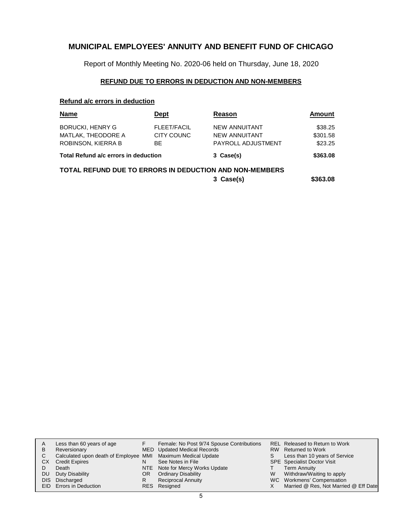Report of Monthly Meeting No. 2020-06 held on Thursday, June 18, 2020

### **REFUND DUE TO ERRORS IN DEDUCTION AND NON-MEMBERS**

### **Refund a/c errors in deduction**

| <b>Name</b>                                                                             | Dept                            | Reason                                                      | Amount                         |  |
|-----------------------------------------------------------------------------------------|---------------------------------|-------------------------------------------------------------|--------------------------------|--|
| <b>BORUCKI, HENRY G</b><br>MATLAK, THEODORE A<br>ROBINSON, KIERRA B                     | FLEET/FACIL<br>CITY COUNC<br>ВE | NEW ANNUITANT<br>NEW ANNUITANT<br><b>PAYROLL ADJUSTMENT</b> | \$38.25<br>\$301.58<br>\$23.25 |  |
| Total Refund a/c errors in deduction                                                    |                                 | 3 Case(s)                                                   | \$363.08                       |  |
| <b>TOTAL REFUND DUE TO ERRORS IN DEDUCTION AND NON-MEMBERS</b><br>\$363.08<br>3 Case(s) |                                 |                                                             |                                |  |

| A   | Less than 60 years of age                                    |     | Female: No Post 9/74 Spouse Contributions |   | <b>REL Released to Return to Work</b> |
|-----|--------------------------------------------------------------|-----|-------------------------------------------|---|---------------------------------------|
| B   | Reversionary                                                 |     | MED Updated Medical Records               |   | RW Returned to Work                   |
|     | Calculated upon death of Employee MMI Maximum Medical Update |     |                                           |   | Less than 10 years of Service         |
| СX  | <b>Credit Expires</b>                                        |     | See Notes in File                         |   | <b>SPE</b> Specialist Doctor Visit    |
|     | Death                                                        |     | NTE Note for Mercy Works Update           |   | Term Annuity                          |
| DU. | Duty Disability                                              | OR. | <b>Ordinary Disability</b>                | W | Withdraw/Waiting to apply             |
|     | DIS Discharged                                               |     | <b>Reciprocal Annuity</b>                 |   | WC Workmens' Compensation             |
|     | EID Errors in Deduction                                      |     | RES Resigned                              |   | Married @ Res, Not Married @ Eff Date |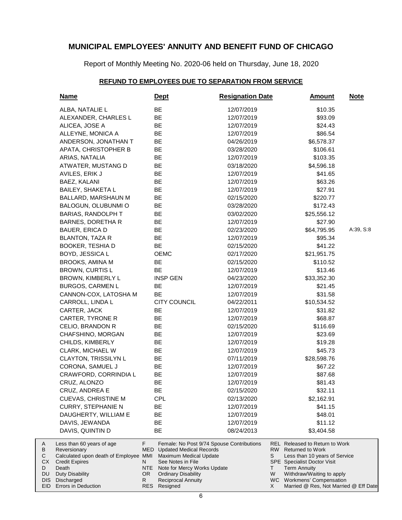Report of Monthly Meeting No. 2020-06 held on Thursday, June 18, 2020

### **REFUND TO EMPLOYEES DUE TO SEPARATION FROM SERVICE**

|                              | <b>Name</b>                                                                                                                             |                              | <b>Dept</b>                                                                                                                                | <b>Resignation Date</b>                   |                          | <b>Amount</b>                                                                                                                                                                        | <b>Note</b> |
|------------------------------|-----------------------------------------------------------------------------------------------------------------------------------------|------------------------------|--------------------------------------------------------------------------------------------------------------------------------------------|-------------------------------------------|--------------------------|--------------------------------------------------------------------------------------------------------------------------------------------------------------------------------------|-------------|
|                              | ALBA, NATALIE L                                                                                                                         |                              | BE                                                                                                                                         | 12/07/2019                                |                          | \$10.35                                                                                                                                                                              |             |
|                              | ALEXANDER, CHARLES L                                                                                                                    |                              | BE                                                                                                                                         | 12/07/2019                                |                          | \$93.09                                                                                                                                                                              |             |
|                              | ALICEA, JOSE A                                                                                                                          |                              | BE                                                                                                                                         | 12/07/2019                                |                          | \$24.43                                                                                                                                                                              |             |
|                              | ALLEYNE, MONICA A                                                                                                                       |                              | BE                                                                                                                                         | 12/07/2019                                |                          | \$86.54                                                                                                                                                                              |             |
|                              | ANDERSON, JONATHAN T                                                                                                                    |                              | BE                                                                                                                                         | 04/26/2019                                |                          | \$6,578.37                                                                                                                                                                           |             |
|                              | APATA, CHRISTOPHER B                                                                                                                    |                              | BE                                                                                                                                         | 03/28/2020                                |                          | \$106.61                                                                                                                                                                             |             |
|                              | ARIAS, NATALIA                                                                                                                          |                              | BE                                                                                                                                         | 12/07/2019                                |                          | \$103.35                                                                                                                                                                             |             |
|                              | ATWATER, MUSTANG D                                                                                                                      |                              | BE                                                                                                                                         | 03/18/2020                                |                          | \$4,596.18                                                                                                                                                                           |             |
|                              | AVILES, ERIK J                                                                                                                          |                              | BE                                                                                                                                         | 12/07/2019                                |                          | \$41.65                                                                                                                                                                              |             |
|                              | BAEZ, KALANI                                                                                                                            |                              | BE                                                                                                                                         | 12/07/2019                                |                          | \$63.26                                                                                                                                                                              |             |
|                              | <b>BAILEY, SHAKETA L</b>                                                                                                                |                              | BE                                                                                                                                         | 12/07/2019                                |                          | \$27.91                                                                                                                                                                              |             |
|                              | BALLARD, MARSHAUN M                                                                                                                     |                              | BE                                                                                                                                         | 02/15/2020                                |                          | \$220.77                                                                                                                                                                             |             |
|                              | BALOGUN, OLUBUNMI O                                                                                                                     |                              | BE                                                                                                                                         | 03/28/2020                                |                          | \$172.43                                                                                                                                                                             |             |
|                              | BARIAS, RANDOLPH T                                                                                                                      |                              | BE                                                                                                                                         | 03/02/2020                                |                          | \$25,556.12                                                                                                                                                                          |             |
|                              | <b>BARNES, DORETHA R</b>                                                                                                                |                              | BE                                                                                                                                         | 12/07/2019                                |                          | \$27.90                                                                                                                                                                              |             |
|                              | BAUER, ERICA D                                                                                                                          |                              | BE                                                                                                                                         | 02/23/2020                                |                          | \$64,795.95                                                                                                                                                                          | A:39, S:8   |
|                              | BLANTON, TAZA R                                                                                                                         |                              | BE                                                                                                                                         | 12/07/2019                                |                          | \$95.34                                                                                                                                                                              |             |
|                              | <b>BOOKER, TESHIA D</b>                                                                                                                 |                              | BE                                                                                                                                         | 02/15/2020                                |                          | \$41.22                                                                                                                                                                              |             |
|                              | BOYD, JESSICA L                                                                                                                         |                              | <b>OEMC</b>                                                                                                                                | 02/17/2020                                |                          | \$21,951.75                                                                                                                                                                          |             |
|                              | <b>BROOKS, AMINA M</b>                                                                                                                  |                              | BE                                                                                                                                         | 02/15/2020                                |                          | \$110.52                                                                                                                                                                             |             |
|                              | <b>BROWN, CURTIS L</b>                                                                                                                  |                              | BE                                                                                                                                         | 12/07/2019                                |                          | \$13.46                                                                                                                                                                              |             |
|                              | BROWN, KIMBERLY L                                                                                                                       |                              | <b>INSP GEN</b>                                                                                                                            | 04/23/2020                                |                          | \$33,352.30                                                                                                                                                                          |             |
|                              | <b>BURGOS, CARMEN L</b>                                                                                                                 |                              | BE                                                                                                                                         | 12/07/2019                                |                          | \$21.45                                                                                                                                                                              |             |
|                              | CANNON-COX, LATOSHA M                                                                                                                   |                              | BE                                                                                                                                         | 12/07/2019                                |                          | \$31.58                                                                                                                                                                              |             |
|                              | CARROLL, LINDA L                                                                                                                        |                              | <b>CITY COUNCIL</b>                                                                                                                        | 04/22/2011                                |                          | \$10,534.52                                                                                                                                                                          |             |
|                              | CARTER, JACK                                                                                                                            |                              | BE                                                                                                                                         | 12/07/2019                                |                          | \$31.82                                                                                                                                                                              |             |
|                              | CARTER, TYRONE R                                                                                                                        |                              | BE                                                                                                                                         | 12/07/2019                                |                          | \$68.87                                                                                                                                                                              |             |
|                              | CELIO, BRANDON R                                                                                                                        |                              | BE                                                                                                                                         | 02/15/2020                                |                          | \$116.69                                                                                                                                                                             |             |
|                              | CHAFSHINO, MORGAN                                                                                                                       |                              | BE                                                                                                                                         | 12/07/2019                                |                          | \$23.69                                                                                                                                                                              |             |
|                              | CHILDS, KIMBERLY                                                                                                                        |                              | BE                                                                                                                                         | 12/07/2019                                |                          | \$19.28                                                                                                                                                                              |             |
|                              | CLARK, MICHAEL W                                                                                                                        |                              | BE                                                                                                                                         | 12/07/2019                                |                          | \$45.73                                                                                                                                                                              |             |
|                              | CLAYTON, TRISSILYN L                                                                                                                    |                              | BE                                                                                                                                         | 07/11/2019                                |                          | \$28,598.76                                                                                                                                                                          |             |
|                              | CORONA, SAMUEL J                                                                                                                        |                              | BE                                                                                                                                         | 12/07/2019                                |                          | \$67.22                                                                                                                                                                              |             |
|                              | CRAWFORD, CORRINDIA L                                                                                                                   |                              | BE                                                                                                                                         | 12/07/2019                                |                          | \$87.68                                                                                                                                                                              |             |
|                              | CRUZ, ALONZO                                                                                                                            |                              | BE                                                                                                                                         | 12/07/2019                                |                          | \$81.43                                                                                                                                                                              |             |
|                              | CRUZ, ANDREA E                                                                                                                          |                              | BE                                                                                                                                         | 02/15/2020                                |                          | \$32.11                                                                                                                                                                              |             |
|                              | <b>CUEVAS, CHRISTINE M</b>                                                                                                              |                              | <b>CPL</b>                                                                                                                                 | 02/13/2020                                |                          | \$2,162.91                                                                                                                                                                           |             |
|                              | <b>CURRY, STEPHANIE N</b>                                                                                                               |                              | BE                                                                                                                                         | 12/07/2019                                |                          | \$41.15                                                                                                                                                                              |             |
|                              | DAUGHERTY, WILLIAM E                                                                                                                    |                              | BE                                                                                                                                         | 12/07/2019                                |                          | \$48.01                                                                                                                                                                              |             |
|                              | DAVIS, JEWANDA                                                                                                                          |                              | BE                                                                                                                                         | 12/07/2019                                |                          | \$11.12                                                                                                                                                                              |             |
|                              | DAVIS, QUINTIN D                                                                                                                        |                              | <b>BE</b>                                                                                                                                  | 08/24/2013                                |                          | \$3,404.58                                                                                                                                                                           |             |
| A<br>В<br>С<br>СX<br>D<br>DU | Less than 60 years of age<br>Reversionary<br>Calculated upon death of Employee MMI<br><b>Credit Expires</b><br>Death<br>Duty Disability | F.<br>MED<br>N<br>NTE<br>OR. | <b>Updated Medical Records</b><br>Maximum Medical Update<br>See Notes in File<br>Note for Mercy Works Update<br><b>Ordinary Disability</b> | Female: No Post 9/74 Spouse Contributions | <b>RW</b><br>S<br>Τ<br>W | REL Released to Return to Work<br><b>Returned to Work</b><br>Less than 10 years of Service<br><b>SPE</b> Specialist Doctor Visit<br><b>Term Annuity</b><br>Withdraw/Waiting to apply |             |
| DIS I<br>EID                 | Discharged<br>Errors in Deduction                                                                                                       | R.                           | Reciprocal Annuity<br>RES Resigned                                                                                                         |                                           | X.                       | WC Workmens' Compensation<br>Married @ Res, Not Married @ Eff Date                                                                                                                   |             |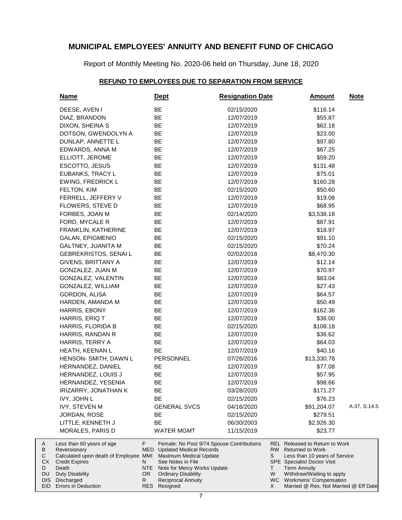Report of Monthly Meeting No. 2020-06 held on Thursday, June 18, 2020

### **REFUND TO EMPLOYEES DUE TO SEPARATION FROM SERVICE**

| <b>Name</b>                                                                                                                                           | <u>Dept</u>                                                                                                                                                                   | <b>Resignation Date</b>                                                  | <u>Amount</u>                                                                                                                                                                                                                                 | <u>Note</u>  |
|-------------------------------------------------------------------------------------------------------------------------------------------------------|-------------------------------------------------------------------------------------------------------------------------------------------------------------------------------|--------------------------------------------------------------------------|-----------------------------------------------------------------------------------------------------------------------------------------------------------------------------------------------------------------------------------------------|--------------|
| DEESE, AVEN I                                                                                                                                         | BE                                                                                                                                                                            | 02/15/2020                                                               | \$116.14                                                                                                                                                                                                                                      |              |
| DIAZ, BRANDON                                                                                                                                         | BE                                                                                                                                                                            | 12/07/2019                                                               | \$55.87                                                                                                                                                                                                                                       |              |
| DIXON, SHEINA S                                                                                                                                       | BE                                                                                                                                                                            | 12/07/2019                                                               | \$62.18                                                                                                                                                                                                                                       |              |
| DOTSON, GWENDOLYN A                                                                                                                                   | BE                                                                                                                                                                            | 12/07/2019                                                               | \$23.00                                                                                                                                                                                                                                       |              |
| DUNLAP, ANNETTE L                                                                                                                                     | BE                                                                                                                                                                            | 12/07/2019                                                               | \$97.80                                                                                                                                                                                                                                       |              |
| EDWARDS, ANNA M                                                                                                                                       | BE                                                                                                                                                                            | 12/07/2019                                                               | \$67.25                                                                                                                                                                                                                                       |              |
| ELLIOTT, JEROME                                                                                                                                       | BE                                                                                                                                                                            | 12/07/2019                                                               | \$59.20                                                                                                                                                                                                                                       |              |
| ESCOTTO, JESUS                                                                                                                                        | BE                                                                                                                                                                            | 12/07/2019                                                               | \$131.48                                                                                                                                                                                                                                      |              |
| EUBANKS, TRACY L                                                                                                                                      | BE                                                                                                                                                                            | 12/07/2019                                                               | \$75.01                                                                                                                                                                                                                                       |              |
| <b>EWING, FREDRICK L</b>                                                                                                                              | BE                                                                                                                                                                            | 12/07/2019                                                               | \$160.28                                                                                                                                                                                                                                      |              |
| FELTON, KIM                                                                                                                                           | BE                                                                                                                                                                            | 02/15/2020                                                               | \$50.60                                                                                                                                                                                                                                       |              |
| FERRELL, JEFFERY V                                                                                                                                    | BE                                                                                                                                                                            | 12/07/2019                                                               | \$19.08                                                                                                                                                                                                                                       |              |
| FLOWERS, STEVE D                                                                                                                                      | BE                                                                                                                                                                            | 12/07/2019                                                               | \$68.95                                                                                                                                                                                                                                       |              |
| FORBES, JOAN M                                                                                                                                        | BE                                                                                                                                                                            | 02/14/2020                                                               | \$3,538.18                                                                                                                                                                                                                                    |              |
| FORD, MYCALE R                                                                                                                                        | BE                                                                                                                                                                            | 12/07/2019                                                               | \$87.91                                                                                                                                                                                                                                       |              |
| FRANKLIN, KATHERINE                                                                                                                                   | BE                                                                                                                                                                            | 12/07/2019                                                               | \$18.97                                                                                                                                                                                                                                       |              |
| GALAN, EPIGMENIO                                                                                                                                      | BE                                                                                                                                                                            | 02/15/2020                                                               | \$91.10                                                                                                                                                                                                                                       |              |
| GALTNEY, JUANITA M                                                                                                                                    | BE                                                                                                                                                                            | 02/15/2020                                                               | \$70.24                                                                                                                                                                                                                                       |              |
| GEBREKRISTOS, SENAI L                                                                                                                                 | BE                                                                                                                                                                            | 02/02/2018                                                               | \$8,470.30                                                                                                                                                                                                                                    |              |
| GIVENS, BRITTANY A                                                                                                                                    | BE                                                                                                                                                                            | 12/07/2019                                                               | \$12.14                                                                                                                                                                                                                                       |              |
| GONZALEZ, JUAN M                                                                                                                                      | BE                                                                                                                                                                            | 12/07/2019                                                               | \$70.97                                                                                                                                                                                                                                       |              |
| GONZALEZ, VALENTIN                                                                                                                                    | BE                                                                                                                                                                            | 12/07/2019                                                               | \$83.04                                                                                                                                                                                                                                       |              |
| GONZALEZ, WILLIAM                                                                                                                                     | BE                                                                                                                                                                            | 12/07/2019                                                               | \$27.43                                                                                                                                                                                                                                       |              |
| GORDON, ALISA                                                                                                                                         | BE                                                                                                                                                                            | 12/07/2019                                                               | \$64.57                                                                                                                                                                                                                                       |              |
| HARDEN, AMANDA M                                                                                                                                      | BE                                                                                                                                                                            | 12/07/2019                                                               | \$50.49                                                                                                                                                                                                                                       |              |
| HARRIS, EBONY                                                                                                                                         | BE                                                                                                                                                                            | 12/07/2019                                                               | \$162.36                                                                                                                                                                                                                                      |              |
| HARRIS, ERIQ T                                                                                                                                        | BE                                                                                                                                                                            | 12/07/2019                                                               | \$36.00                                                                                                                                                                                                                                       |              |
| HARRIS, FLORIDA B                                                                                                                                     | BE                                                                                                                                                                            | 02/15/2020                                                               | \$108.18                                                                                                                                                                                                                                      |              |
| HARRIS, RANDAN R                                                                                                                                      | BE                                                                                                                                                                            | 12/07/2019                                                               | \$36.62                                                                                                                                                                                                                                       |              |
| HARRIS, TERRY A                                                                                                                                       | BE                                                                                                                                                                            | 12/07/2019                                                               | \$64.03                                                                                                                                                                                                                                       |              |
| HEATH, KEENAN L                                                                                                                                       | BE                                                                                                                                                                            | 12/07/2019                                                               | \$40.16                                                                                                                                                                                                                                       |              |
| HENSON- SMITH, DAWN L                                                                                                                                 | PERSONNEL                                                                                                                                                                     | 07/26/2016                                                               | \$13,330.78                                                                                                                                                                                                                                   |              |
| HERNANDEZ, DANIEL                                                                                                                                     | BE                                                                                                                                                                            | 12/07/2019                                                               | \$77.08                                                                                                                                                                                                                                       |              |
| HERNANDEZ, LOUIS J                                                                                                                                    | BE                                                                                                                                                                            | 12/07/2019                                                               | \$57.95                                                                                                                                                                                                                                       |              |
| HERNANDEZ, YESENIA                                                                                                                                    | BE                                                                                                                                                                            | 12/07/2019                                                               | \$98.66                                                                                                                                                                                                                                       |              |
| IRIZARRY, JONATHAN K                                                                                                                                  | BE                                                                                                                                                                            | 03/28/2020                                                               | \$171.27                                                                                                                                                                                                                                      |              |
| IVY, JOHN L                                                                                                                                           | <b>BE</b>                                                                                                                                                                     | 02/15/2020                                                               | \$76.23                                                                                                                                                                                                                                       |              |
| <b>IVY, STEVEN M</b>                                                                                                                                  | <b>GENERAL SVCS</b>                                                                                                                                                           | 04/16/2020                                                               | \$91,204.07                                                                                                                                                                                                                                   | A:37, S:14.5 |
| JORDAN, ROSE                                                                                                                                          | BE                                                                                                                                                                            | 02/15/2020                                                               | \$279.51                                                                                                                                                                                                                                      |              |
| LITTLE, KENNETH J                                                                                                                                     | BE                                                                                                                                                                            | 06/30/2003                                                               | \$2,926.30                                                                                                                                                                                                                                    |              |
| MORALES, PARIS D                                                                                                                                      | <b>WATER MGMT</b>                                                                                                                                                             | 11/15/2019                                                               | \$23.77                                                                                                                                                                                                                                       |              |
| Less than 60 years of age<br>Reversionary<br>Calculated upon death of Employee MMI<br><b>Credit Expires</b><br>Death<br>Duty Disability<br>Discharged | F.<br>MED<br><b>Updated Medical Records</b><br>Maximum Medical Update<br>See Notes in File<br>N<br>NTE<br>OR.<br><b>Ordinary Disability</b><br>R<br><b>Reciprocal Annuity</b> | Female: No Post 9/74 Spouse Contributions<br>Note for Mercy Works Update | <b>REL</b> Released to Return to Work<br>RW<br><b>Returned to Work</b><br>S<br>Less than 10 years of Service<br><b>SPE</b> Specialist Doctor Visit<br>т<br><b>Term Annuity</b><br>W<br>Withdraw/Waiting to apply<br>WC Workmens' Compensation |              |
| Errors in Deduction                                                                                                                                   | <b>RES</b><br>Resigned                                                                                                                                                        |                                                                          | Married @ Res, Not Married @ Eff Date<br>X.                                                                                                                                                                                                   |              |

A B C CX D DU DIS EID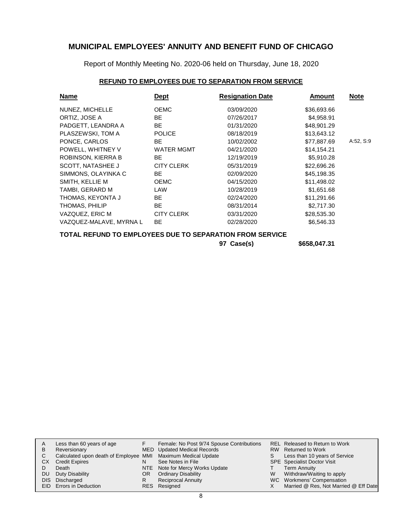Report of Monthly Meeting No. 2020-06 held on Thursday, June 18, 2020

### **REFUND TO EMPLOYEES DUE TO SEPARATION FROM SERVICE**

| <b>Name</b>             | <b>Dept</b>       | <b>Resignation Date</b> | Amount      | <b>Note</b> |
|-------------------------|-------------------|-------------------------|-------------|-------------|
| NUNEZ, MICHELLE         | <b>OEMC</b>       | 03/09/2020              | \$36,693.66 |             |
| ORTIZ, JOSE A           | BE.               | 07/26/2017              | \$4,958.91  |             |
| PADGETT, LEANDRA A      | BE.               | 01/31/2020              | \$48,901.29 |             |
| PLASZEWSKI, TOM A       | <b>POLICE</b>     | 08/18/2019              | \$13,643.12 |             |
| PONCE, CARLOS           | BE.               | 10/02/2002              | \$77,887.69 | A:52, S:9   |
| POWELL, WHITNEY V       | <b>WATER MGMT</b> | 04/21/2020              | \$14,154.21 |             |
| ROBINSON, KIERRA B      | BE.               | 12/19/2019              | \$5,910.28  |             |
| SCOTT, NATASHEE J       | <b>CITY CLERK</b> | 05/31/2019              | \$22,696.26 |             |
| SIMMONS, OLAYINKA C     | BE.               | 02/09/2020              | \$45.198.35 |             |
| SMITH, KELLIE M         | <b>OEMC</b>       | 04/15/2020              | \$11,498.02 |             |
| TAMBI, GERARD M         | LAW               | 10/28/2019              | \$1,651.68  |             |
| THOMAS, KEYONTA J       | BE                | 02/24/2020              | \$11,291.66 |             |
| THOMAS, PHILIP          | BE.               | 08/31/2014              | \$2,717.30  |             |
| VAZQUEZ, ERIC M         | <b>CITY CLERK</b> | 03/31/2020              | \$28,535.30 |             |
| VAZQUEZ-MALAVE, MYRNA L | BE.               | 02/28/2020              | \$6,546.33  |             |
|                         |                   |                         |             |             |

### **TOTAL REFUND TO EMPLOYEES DUE TO SEPARATION FROM SERVICE**

**97 Case(s) \$658,047.31**

|    | Less than 60 years of age                                    |    | Female: No Post 9/74 Spouse Contributions |   | REL Released to Return to Work        |
|----|--------------------------------------------------------------|----|-------------------------------------------|---|---------------------------------------|
| B  | Reversionary                                                 |    | MED Updated Medical Records               |   | RW Returned to Work                   |
|    | Calculated upon death of Employee MMI Maximum Medical Update |    |                                           |   | Less than 10 years of Service         |
| СX | <b>Credit Expires</b>                                        |    | See Notes in File                         |   | <b>SPE</b> Specialist Doctor Visit    |
|    | Death                                                        |    | NTE Note for Mercy Works Update           |   | <b>Term Annuity</b>                   |
| DU | Duty Disability                                              | OR | <b>Ordinary Disability</b>                | w | Withdraw/Waiting to apply             |
|    | DIS Discharged                                               |    | <b>Reciprocal Annuity</b>                 |   | WC Workmens' Compensation             |
|    | EID Errors in Deduction                                      |    | RES Resigned                              |   | Married @ Res, Not Married @ Eff Date |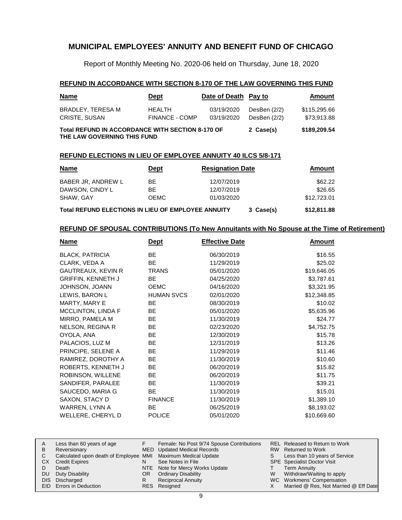Report of Monthly Meeting No. 2020-06 held on Thursday, June 18, 2020

#### **REFUND IN ACCORDANCE WITH SECTION 8-170 OF THE LAW GOVERNING THIS FUND**

| <b>Name</b>                                                                            | <u>Dept</u>                     | Date of Death Pay to     |                                | <b>Amount</b>               |
|----------------------------------------------------------------------------------------|---------------------------------|--------------------------|--------------------------------|-----------------------------|
| BRADLEY, TERESA M<br><b>CRISTE, SUSAN</b>                                              | <b>HEALTH</b><br>FINANCE - COMP | 03/19/2020<br>03/19/2020 | DesBen $(2/2)$<br>DesBen (2/2) | \$115,295.66<br>\$73,913.88 |
| <b>Total REFUND IN ACCORDANCE WITH SECTION 8-170 OF</b><br>THE LAW GOVERNING THIS FUND |                                 | 2 Case(s)                | \$189,209.54                   |                             |

#### **REFUND ELECTIONS IN LIEU OF EMPLOYEE ANNUITY 40 ILCS 5/8-171**

| <b>Name</b>                                               | <b>Dept</b> | <b>Resignation Date</b> | Amount      |
|-----------------------------------------------------------|-------------|-------------------------|-------------|
| BABER JR, ANDREW L                                        | BE.         | 12/07/2019              | \$62.22     |
| DAWSON, CINDY L                                           | BE.         | 12/07/2019              | \$26.65     |
| SHAW, GAY                                                 | <b>OEMC</b> | 01/03/2020              | \$12,723.01 |
| <b>Total REFUND ELECTIONS IN LIEU OF EMPLOYEE ANNUITY</b> | 3 Case(s)   | \$12,811.88             |             |

#### **REFUND OF SPOUSAL CONTRIBUTIONS (To New Annuitants with No Spouse at the Time of Retirement)**

| <u>Name</u>               | Dept              | <b>Effective Date</b> | <b>Amount</b> |
|---------------------------|-------------------|-----------------------|---------------|
| <b>BLACK, PATRICIA</b>    | BE.               | 06/30/2019            | \$16.55       |
| CLARK, VEDA A             | <b>BE</b>         | 11/29/2019            | \$25.02       |
| <b>GAUTREAUX, KEVIN R</b> | <b>TRANS</b>      | 05/01/2020            | \$19,646.05   |
| <b>GRIFFIN, KENNETH J</b> | BE.               | 04/25/2020            | \$3,787.61    |
| JOHNSON, JOANN            | <b>OEMC</b>       | 04/16/2020            | \$3,321.95    |
| LEWIS, BARON L            | <b>HUMAN SVCS</b> | 02/01/2020            | \$12,348.85   |
| MARTY, MARY E             | <b>BE</b>         | 08/30/2019            | \$10.02       |
| <b>MCCLINTON, LINDA F</b> | <b>BE</b>         | 05/01/2020            | \$5,635.96    |
| MIRRO, PAMELA M           | BE                | 11/30/2019            | \$24.77       |
| NELSON, REGINA R          | <b>BE</b>         | 02/23/2020            | \$4,752.75    |
| OYOLA, ANA                | <b>BE</b>         | 12/30/2019            | \$15.78       |
| PALACIOS, LUZ M           | BE                | 12/31/2019            | \$13.26       |
| PRINCIPE, SELENE A        | BE                | 11/29/2019            | \$11.46       |
| RAMIREZ, DOROTHY A        | <b>BE</b>         | 11/30/2019            | \$10.60       |
| ROBERTS, KENNETH J        | BE                | 06/20/2019            | \$15.82       |
| ROBINSON, WILLENE         | <b>BE</b>         | 06/20/2019            | \$11.75       |
| SANDIFER, PARALEE         | BE.               | 11/30/2019            | \$39.21       |
| SAUCEDO, MARIA G          | BE.               | 11/30/2019            | \$15.01       |
| SAXON, STACY D            | <b>FINANCE</b>    | 11/30/2019            | \$1,389.10    |
| WARREN, LYNN A            | BE.               | 06/25/2019            | \$8,193.02    |
| WELLERE, CHERYL D         | <b>POLICE</b>     | 05/01/2020            | \$10,669.60   |

| В  | Less than 60 years of age<br>Reversionary                    |     | Female: No Post 9/74 Spouse Contributions<br><b>MED</b> Updated Medical Records |   | REL Released to Return to Work<br>RW Returned to Work |
|----|--------------------------------------------------------------|-----|---------------------------------------------------------------------------------|---|-------------------------------------------------------|
|    | Calculated upon death of Employee MMI Maximum Medical Update |     |                                                                                 |   | Less than 10 years of Service                         |
| CХ | <b>Credit Expires</b>                                        |     | See Notes in File                                                               |   | <b>SPE</b> Specialist Doctor Visit                    |
|    | Death                                                        |     | NTE Note for Mercy Works Update                                                 |   | Term Annuity                                          |
| DU | Duty Disability                                              | OR. | <b>Ordinary Disability</b>                                                      | W | Withdraw/Waiting to apply                             |
|    | DIS Discharged                                               |     | <b>Reciprocal Annuity</b>                                                       |   | WC Workmens' Compensation                             |
|    | <b>EID</b> Errors in Deduction                               |     | RES Resigned                                                                    |   | Married @ Res, Not Married @ Eff Date                 |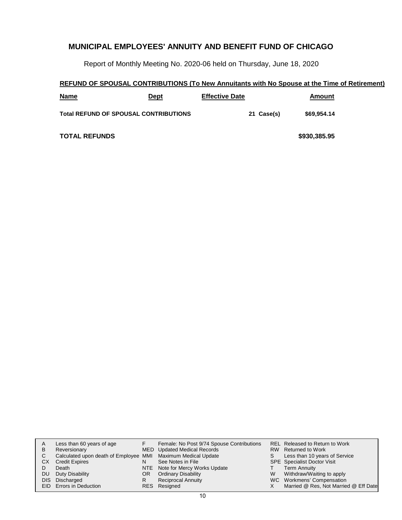Report of Monthly Meeting No. 2020-06 held on Thursday, June 18, 2020

## **REFUND OF SPOUSAL CONTRIBUTIONS (To New Annuitants with No Spouse at the Time of Retirement)**

| <b>Name</b>                                  | Dept | <b>Effective Date</b> | Amount       |  |
|----------------------------------------------|------|-----------------------|--------------|--|
| <b>Total REFUND OF SPOUSAL CONTRIBUTIONS</b> |      | 21 Case(s)            | \$69,954.14  |  |
| <b>TOTAL REFUNDS</b>                         |      |                       | \$930,385.95 |  |

| A  | Less than 60 years of age                                    |     | Female: No Post 9/74 Spouse Contributions |   | REL Released to Return to Work        |
|----|--------------------------------------------------------------|-----|-------------------------------------------|---|---------------------------------------|
| в  | Reversionary                                                 |     | MED Updated Medical Records               |   | RW Returned to Work                   |
| C. | Calculated upon death of Employee MMI Maximum Medical Update |     |                                           |   | Less than 10 years of Service         |
| CХ | <b>Credit Expires</b>                                        | N   | See Notes in File                         |   | <b>SPE</b> Specialist Doctor Visit    |
|    | Death                                                        |     | NTE Note for Mercy Works Update           |   | Term Annuity                          |
| DU | Duty Disability                                              | OR. | <b>Ordinary Disability</b>                | W | Withdraw/Waiting to apply             |
|    | DIS Discharged                                               | R   | <b>Reciprocal Annuity</b>                 |   | WC Workmens' Compensation             |
|    | EID Errors in Deduction                                      |     | RES Resigned                              |   | Married @ Res, Not Married @ Eff Date |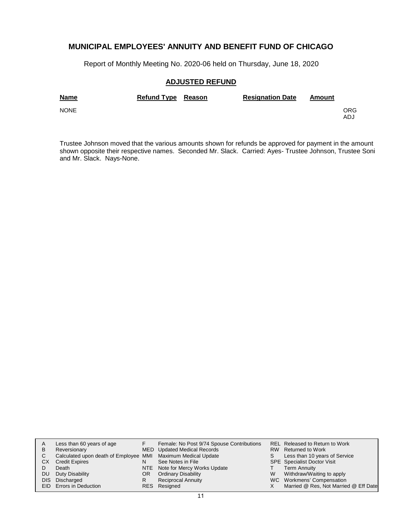Report of Monthly Meeting No. 2020-06 held on Thursday, June 18, 2020

### **ADJUSTED REFUND**

| <b>Name</b> | Refund Type Reason | <b>Resignation Date</b> | Amount |            |
|-------------|--------------------|-------------------------|--------|------------|
| <b>NONE</b> |                    |                         |        | ORG<br>ADJ |

Trustee Johnson moved that the various amounts shown for refunds be approved for payment in the amount shown opposite their respective names. Seconded Mr. Slack. Carried: Ayes- Trustee Johnson, Trustee Soni and Mr. Slack. Nays-None.

|     | Less than 60 years of age                                    |     | Female: No Post 9/74 Spouse Contributions |   | <b>REL Released to Return to Work</b> |
|-----|--------------------------------------------------------------|-----|-------------------------------------------|---|---------------------------------------|
| B   | Reversionary                                                 |     | MED Updated Medical Records               |   | RW Returned to Work                   |
| C.  | Calculated upon death of Employee MMI Maximum Medical Update |     |                                           |   | Less than 10 years of Service         |
| CХ  | <b>Credit Expires</b>                                        | N   | See Notes in File                         |   | <b>SPE</b> Specialist Doctor Visit    |
|     | Death                                                        |     | NTE Note for Mercy Works Update           |   | Term Annuity                          |
| DU. | Duty Disability                                              | OR. | <b>Ordinary Disability</b>                | W | Withdraw/Waiting to apply             |
|     | DIS Discharged                                               |     | <b>Reciprocal Annuity</b>                 |   | WC Workmens' Compensation             |
|     | <b>EID</b> Errors in Deduction                               |     | RES Resigned                              |   | Married @ Res, Not Married @ Eff Date |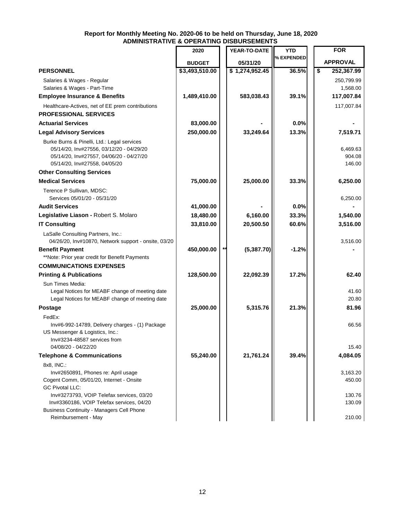#### **Report for Monthly Meeting No. 2020-06 to be held on Thursday, June 18, 2020 ADMINISTRATIVE & OPERATING DISBURSEMENTS**

|                                                      | 2020           | YEAR-TO-DATE   | <b>YTD</b> | <b>FOR</b>       |
|------------------------------------------------------|----------------|----------------|------------|------------------|
|                                                      |                |                | % EXPENDED |                  |
|                                                      | <b>BUDGET</b>  | 05/31/20       |            | <b>APPROVAL</b>  |
| <b>PERSONNEL</b>                                     | \$3,493,510.00 | \$1,274,952.45 | 36.5%      | \$<br>252,367.99 |
| Salaries & Wages - Regular                           |                |                |            | 250,799.99       |
| Salaries & Wages - Part-Time                         |                |                |            | 1,568.00         |
| <b>Employee Insurance &amp; Benefits</b>             | 1,489,410.00   | 583,038.43     | 39.1%      | 117,007.84       |
| Healthcare-Actives, net of EE prem contributions     |                |                |            | 117,007.84       |
| <b>PROFESSIONAL SERVICES</b>                         |                |                |            |                  |
| <b>Actuarial Services</b>                            | 83,000.00      |                | 0.0%       |                  |
| <b>Legal Advisory Services</b>                       | 250,000.00     | 33,249.64      | 13.3%      | 7,519.71         |
| Burke Burns & Pinelli, Ltd.: Legal services          |                |                |            |                  |
| 05/14/20, Inv#27556, 03/12/20 - 04/29/20             |                |                |            | 6,469.63         |
| 05/14/20, Inv#27557, 04/06/20 - 04/27/20             |                |                |            | 904.08           |
| 05/14/20, Inv#27558, 04/05/20                        |                |                |            | 146.00           |
| <b>Other Consulting Services</b>                     |                |                |            |                  |
| <b>Medical Services</b>                              | 75,000.00      | 25,000.00      | 33.3%      | 6,250.00         |
| Terence P Sullivan, MDSC:                            |                |                |            |                  |
| Services 05/01/20 - 05/31/20                         |                |                |            | 6,250.00         |
| <b>Audit Services</b>                                | 41,000.00      |                | 0.0%       |                  |
| Legislative Liason - Robert S. Molaro                | 18,480.00      | 6,160.00       | 33.3%      | 1,540.00         |
| <b>IT Consulting</b>                                 | 33,810.00      | 20,500.50      | 60.6%      | 3,516.00         |
| LaSalle Consulting Partners, Inc.:                   |                |                |            |                  |
| 04/26/20, Inv#10870, Network support - onsite, 03/20 |                |                |            | 3,516.00         |
| <b>Benefit Payment</b>                               | 450,000.00     | (5,387.70)     | $-1.2%$    |                  |
| **Note: Prior year credit for Benefit Payments       |                |                |            |                  |
| <b>COMMUNICATIONS EXPENSES</b>                       |                |                |            |                  |
| <b>Printing &amp; Publications</b>                   | 128,500.00     | 22,092.39      | 17.2%      | 62.40            |
| Sun Times Media:                                     |                |                |            |                  |
| Legal Notices for MEABF change of meeting date       |                |                |            | 41.60            |
| Legal Notices for MEABF change of meeting date       |                |                |            | 20.80            |
| <b>Postage</b>                                       | 25,000.00      | 5,315.76       | 21.3%      | 81.96            |
| FedEx:                                               |                |                |            |                  |
| Inv#6-992-14789, Delivery charges - (1) Package      |                |                |            | 66.56            |
| US Messenger & Logistics, Inc.:                      |                |                |            |                  |
| Inv#3234-48587 services from                         |                |                |            |                  |
| 04/08/20 - 04/22/20                                  |                |                |            | 15.40            |
| <b>Telephone &amp; Communications</b>                | 55,240.00      | 21,761.24      | 39.4%      | 4,084.05         |
| 8x8, INC.:                                           |                |                |            |                  |
| Inv#2650891, Phones re: April usage                  |                |                |            | 3,163.20         |
| Cogent Comm, 05/01/20, Internet - Onsite             |                |                |            | 450.00           |
| <b>GC Pivotal LLC:</b>                               |                |                |            |                  |
| Inv#3273793, VOIP Telefax services, 03/20            |                |                |            | 130.76           |
| Inv#3360186, VOIP Telefax services, 04/20            |                |                |            | 130.09           |
| <b>Business Continuity - Managers Cell Phone</b>     |                |                |            |                  |
| Reimbursement - May                                  |                |                |            | 210.00           |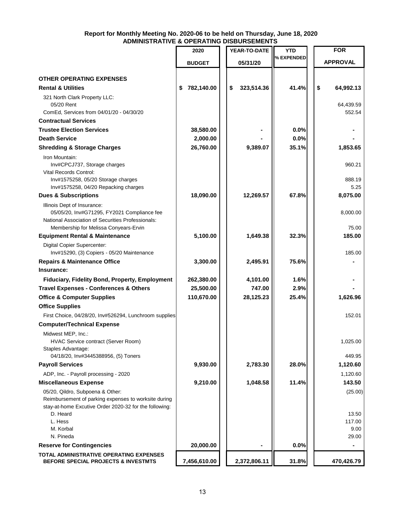#### **Report for Monthly Meeting No. 2020-06 to be held on Thursday, June 18, 2020 ADMINISTRATIVE & OPERATING DISBURSEMENTS**

|                                                                                          | 2020             | YEAR-TO-DATE     | YTD        | <b>FOR</b>      |
|------------------------------------------------------------------------------------------|------------------|------------------|------------|-----------------|
|                                                                                          | <b>BUDGET</b>    | 05/31/20         | % EXPENDED | <b>APPROVAL</b> |
|                                                                                          |                  |                  |            |                 |
| <b>OTHER OPERATING EXPENSES</b>                                                          |                  |                  |            |                 |
| <b>Rental &amp; Utilities</b>                                                            | 782,140.00<br>\$ | 323,514.36<br>\$ | 41.4%      | \$<br>64,992.13 |
| 321 North Clark Property LLC:<br>05/20 Rent                                              |                  |                  |            | 64,439.59       |
| ComEd, Services from 04/01/20 - 04/30/20                                                 |                  |                  |            | 552.54          |
| <b>Contractual Services</b>                                                              |                  |                  |            |                 |
| <b>Trustee Election Services</b>                                                         | 38,580.00        |                  | 0.0%       |                 |
| <b>Death Service</b>                                                                     | 2,000.00         |                  | 0.0%       |                 |
| <b>Shredding &amp; Storage Charges</b>                                                   | 26,760.00        | 9,389.07         | 35.1%      | 1,853.65        |
| Iron Mountain:                                                                           |                  |                  |            |                 |
| Inv#CPCJ737, Storage charges                                                             |                  |                  |            | 960.21          |
| <b>Vital Records Control:</b>                                                            |                  |                  |            |                 |
| Inv#1575258, 05/20 Storage charges<br>Inv#1575258, 04/20 Repacking charges               |                  |                  |            | 888.19<br>5.25  |
| <b>Dues &amp; Subscriptions</b>                                                          | 18,090.00        | 12,269.57        | 67.8%      | 8,075.00        |
| Illinois Dept of Insurance:                                                              |                  |                  |            |                 |
| 05/05/20, Inv#G71295, FY2021 Compliance fee                                              |                  |                  |            | 8,000.00        |
| National Association of Securities Professionals:                                        |                  |                  |            |                 |
| Membership for Melissa Conyears-Ervin                                                    |                  |                  |            | 75.00           |
| <b>Equipment Rental &amp; Maintenance</b>                                                | 5,100.00         | 1,649.38         | 32.3%      | 185.00          |
| Digital Copier Supercenter:                                                              |                  |                  |            | 185.00          |
| Inv#15290, (3) Copiers - 05/20 Maintenance<br><b>Repairs &amp; Maintenance Office</b>    | 3,300.00         | 2,495.91         | 75.6%      |                 |
| Insurance:                                                                               |                  |                  |            |                 |
| Fiduciary, Fidelity Bond, Property, Employment                                           | 262,380.00       | 4,101.00         | 1.6%       |                 |
| <b>Travel Expenses - Conferences &amp; Others</b>                                        | 25,500.00        | 747.00           | 2.9%       |                 |
| <b>Office &amp; Computer Supplies</b>                                                    | 110,670.00       | 28,125.23        | 25.4%      | 1,626.96        |
| <b>Office Supplies</b>                                                                   |                  |                  |            |                 |
| First Choice, 04/28/20, Inv#526294, Lunchroom supplies                                   |                  |                  |            | 152.01          |
| <b>Computer/Technical Expense</b>                                                        |                  |                  |            |                 |
| Midwest MEP, Inc.:                                                                       |                  |                  |            |                 |
| HVAC Service contract (Server Room)                                                      |                  |                  |            | 1,025.00        |
| Staples Advantage:                                                                       |                  |                  |            |                 |
| 04/18/20, Inv#3445388956, (5) Toners                                                     |                  |                  |            | 449.95          |
| <b>Payroll Services</b>                                                                  | 9,930.00         | 2,783.30         | 28.0%      | 1,120.60        |
| ADP, Inc. - Payroll processing - 2020                                                    |                  |                  |            | 1,120.60        |
| <b>Miscellaneous Expense</b>                                                             | 9,210.00         | 1,048.58         | 11.4%      | 143.50          |
| 05/20, Qildro, Subpoena & Other:<br>Reimbursement of parking expenses to worksite during |                  |                  |            | (25.00)         |
| stay-at-home Excutive Order 2020-32 for the following:                                   |                  |                  |            |                 |
| D. Heard                                                                                 |                  |                  |            | 13.50           |
| L. Hess                                                                                  |                  |                  |            | 117.00          |
| M. Korbal<br>N. Pineda                                                                   |                  |                  |            | 9.00<br>29.00   |
| <b>Reserve for Contingencies</b>                                                         | 20,000.00        |                  | 0.0%       |                 |
| TOTAL ADMINISTRATIVE OPERATING EXPENSES                                                  |                  |                  |            |                 |
| <b>BEFORE SPECIAL PROJECTS &amp; INVESTMTS</b>                                           | 7,456,610.00     | 2,372,806.11     | 31.8%      | 470,426.79      |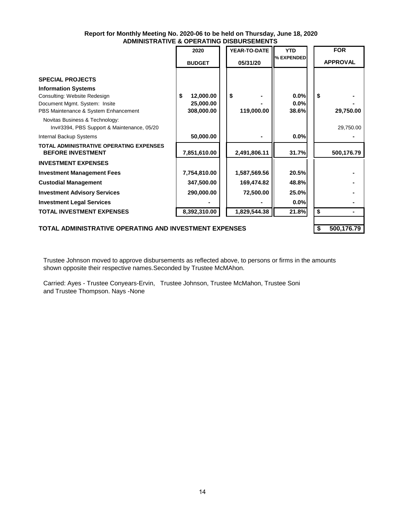#### **Report for Monthly Meeting No. 2020-06 to be held on Thursday, June 18, 2020 ADMINISTRATIVE & OPERATING DISBURSEMENTS**

|                                                                                                                                                                                                  | 2020                                      | YEAR-TO-DATE     | <b>YTD</b>            | <b>FOR</b>      |
|--------------------------------------------------------------------------------------------------------------------------------------------------------------------------------------------------|-------------------------------------------|------------------|-----------------------|-----------------|
|                                                                                                                                                                                                  | <b>BUDGET</b>                             | 05/31/20         | % EXPENDED            | <b>APPROVAL</b> |
| <b>SPECIAL PROJECTS</b><br><b>Information Systems</b><br>Consulting: Website Redesign<br>Document Mgmt. System: Insite<br>PBS Maintenance & System Enhancement<br>Novitas Business & Technology: | 12,000.00<br>S<br>25,000.00<br>308,000.00 | \$<br>119,000.00 | 0.0%<br>0.0%<br>38.6% | \$<br>29,750.00 |
| Inv#3394, PBS Support & Maintenance, 05/20                                                                                                                                                       |                                           |                  |                       | 29,750.00       |
| Internal Backup Systems                                                                                                                                                                          | 50,000.00                                 |                  | 0.0%                  |                 |
| <b>TOTAL ADMINISTRATIVE OPERATING EXPENSES</b><br><b>BEFORE INVESTMENT</b>                                                                                                                       | 7,851,610.00                              | 2,491,806.11     | 31.7%                 | 500,176.79      |
| <b>INVESTMENT EXPENSES</b>                                                                                                                                                                       |                                           |                  |                       |                 |
| <b>Investment Management Fees</b>                                                                                                                                                                | 7,754,810.00                              | 1,587,569.56     | 20.5%                 |                 |
| <b>Custodial Management</b>                                                                                                                                                                      | 347,500.00                                | 169,474.82       | 48.8%                 |                 |
| <b>Investment Advisory Services</b>                                                                                                                                                              | 290,000.00                                | 72,500.00        | 25.0%                 |                 |
| <b>Investment Legal Services</b>                                                                                                                                                                 |                                           |                  | 0.0%                  |                 |
| <b>TOTAL INVESTMENT EXPENSES</b>                                                                                                                                                                 | 8,392,310.00                              | 1,829,544.38     | 21.8%                 | \$<br>۰         |
| TOTAL ADMINISTRATIVE OPERATING AND INVESTMENT EXPENSES                                                                                                                                           | \$<br>500,176.79                          |                  |                       |                 |

Trustee Johnson moved to approve disbursements as reflected above, to persons or firms in the amounts shown opposite their respective names.Seconded by Trustee McMAhon.

Carried: Ayes - Trustee Conyears-Ervin, Trustee Johnson, Trustee McMahon, Trustee Soni and Trustee Thompson. Nays -None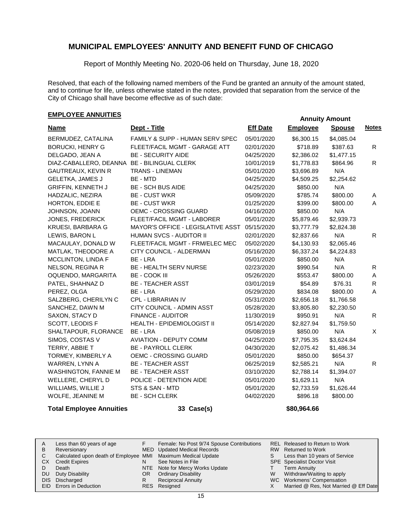Report of Monthly Meeting No. 2020-06 held on Thursday, June 18, 2020

Resolved, that each of the following named members of the Fund be granted an annuity of the amount stated, and to continue for life, unless otherwise stated in the notes, provided that separation from the service of the City of Chicago shall have become effective as of such date:

## **EMPLOYEE ANNUITIES**<br> **Annuity Amount**

| <u>Name</u>                                 | Dept - Title                      | <b>Eff Date</b> | <b>Employee</b> | <b>Spouse</b> | <b>Notes</b>   |
|---------------------------------------------|-----------------------------------|-----------------|-----------------|---------------|----------------|
| BERMUDEZ, CATALINA                          | FAMILY & SUPP - HUMAN SERV SPEC   | 05/01/2020      | \$6,300.15      | \$4,085.04    |                |
| <b>BORUCKI, HENRY G</b>                     | FLEET/FACIL MGMT - GARAGE ATT     | 02/01/2020      | \$718.89        | \$387.63      | R.             |
| DELGADO, JEAN A                             | <b>BE - SECURITY AIDE</b>         | 04/25/2020      | \$2,386.02      | \$1,477.15    |                |
| DIAZ-CABALLERO, DEANNA BE - BILINGUAL CLERK |                                   | 10/01/2019      | \$1,778.83      | \$864.96      | R.             |
| <b>GAUTREAUX, KEVIN R</b>                   | <b>TRANS - LINEMAN</b>            | 05/01/2020      | \$3,696.89      | N/A           |                |
| <b>GELETKA, JAMES J</b>                     | BE - MTD                          | 04/25/2020      | \$4,509.25      | \$2,254.62    |                |
| <b>GRIFFIN, KENNETH J</b>                   | <b>BE - SCH BUS AIDE</b>          | 04/25/2020      | \$850.00        | N/A           |                |
| HADZALIC, NEZIRA                            | <b>BE - CUST WKR</b>              | 05/09/2020      | \$785.74        | \$800.00      | Α              |
| HORTON, EDDIE E                             | <b>BE - CUST WKR</b>              | 01/25/2020      | \$399.00        | \$800.00      | $\mathsf{A}$   |
| JOHNSON, JOANN                              | OEMC - CROSSING GUARD             | 04/16/2020      | \$850.00        | N/A           |                |
| JONES, FREDERICK                            | FLEET/FACIL MGMT - LABORER        | 05/01/2020      | \$5,879.46      | \$2,939.73    |                |
| <b>KRUESI, BARBARA G</b>                    | MAYOR'S OFFICE - LEGISLATIVE ASST | 05/15/2020      | \$3,777.79      | \$2,824.38    |                |
| LEWIS, BARON L                              | <b>HUMAN SVCS - AUDITOR II</b>    | 02/01/2020      | \$2,837.66      | N/A           | $\mathsf{R}$   |
| MACAULAY, DONALD W                          | FLEET/FACIL MGMT - FRM/ELEC MEC   | 05/02/2020      | \$4,130.93      | \$2,065.46    |                |
| MATLAK, THEODORE A                          | CITY COUNCIL - ALDERMAN           | 05/16/2020      | \$6,337.24      | \$4,224.83    |                |
| MCCLINTON, LINDA F                          | BE - LRA                          | 05/01/2020      | \$850.00        | N/A           |                |
| <b>NELSON, REGINA R</b>                     | BE - HEALTH SERV NURSE            | 02/23/2020      | \$990.54        | N/A           | R              |
| OQUENDO, MARGARITA                          | <b>BE - COOK III</b>              | 05/26/2020      | \$553.47        | \$800.00      | A              |
| PATEL, SHAHNAZ D                            | <b>BE - TEACHER ASST</b>          | 03/01/2019      | \$54.89         | \$76.31       | R              |
| PEREZ, OLGA                                 | BE - LRA                          | 05/29/2020      | \$834.08        | \$800.00      | $\overline{A}$ |
| SALZBERG, CHERILYN C                        | CPL - LIBRARIAN IV                | 05/31/2020      | \$2,656.18      | \$1,766.58    |                |
| SANCHEZ, DAWN M                             | CITY COUNCIL - ADMIN ASST         | 05/28/2020      | \$3,805.80      | \$2,230.50    |                |
| SAXON, STACY D                              | <b>FINANCE - AUDITOR</b>          | 11/30/2019      | \$950.91        | N/A           | $\mathsf{R}$   |
| SCOTT, LEODIS F                             | <b>HEALTH - EPIDEMIOLOGIST II</b> | 05/14/2020      | \$2,827.94      | \$1,759.50    |                |
| SHALTAPOUR, FLORANCE                        | BE - LRA                          | 05/08/2019      | \$850.00        | N/A           | X              |
| SIMOS, COSTAS V                             | <b>AVIATION - DEPUTY COMM</b>     | 04/25/2020      | \$7,795.35      | \$3,624.84    |                |
| TERRY, ABBIE T                              | <b>BE - PAYROLL CLERK</b>         | 04/30/2020      | \$2,075.42      | \$1,486.34    |                |
| TORMEY, KIMBERLY A                          | OEMC - CROSSING GUARD             | 05/01/2020      | \$850.00        | \$654.37      |                |
| WARREN, LYNN A                              | <b>BE - TEACHER ASST</b>          | 06/25/2019      | \$2,585.21      | N/A           | R              |
| WASHINGTON, FANNIE M                        | <b>BE - TEACHER ASST</b>          | 03/10/2020      | \$2,788.14      | \$1,394.07    |                |
| WELLERE, CHERYL D                           | POLICE - DETENTION AIDE           | 05/01/2020      | \$1,629.11      | N/A           |                |
| WILLIAMS, WILLIE J                          | STS & SAN - MTD                   | 05/01/2020      | \$2,733.59      | \$1,626.44    |                |
| WOLFE, JEANINE M                            | <b>BE - SCH CLERK</b>             | 04/02/2020      | \$896.18        | \$800.00      |                |

#### **Total Employee Annuities 33 Case(s) \$80,964.66**

Less than 60 years of age Reversionary Calculated upon death of Employee MMI Maximum Medical Update CX Credit Expires Death DU Duty Disability DIS Discharged EID Errors in Deduction Released to Return to Work REL RW Returned to Work Less than 10 years of Service SPE Specialist Doctor Visit Term Annuity Withdraw/Waiting to apply WC Workmens' Compensation Married @ Res, Not Married @ Eff Date A B C D S T W X Female: No Post 9/74 Spouse Contributions MED Updated Medical Records See Notes in File NTE Note for Mercy Works Update OR Ordinary Disability Reciprocal Annuity Resigned RESF N R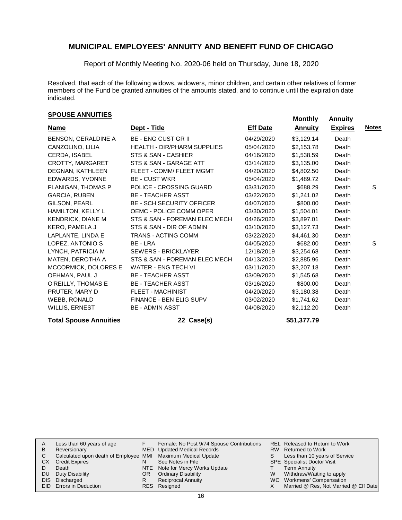Report of Monthly Meeting No. 2020-06 held on Thursday, June 18, 2020

Resolved, that each of the following widows, widowers, minor children, and certain other relatives of former members of the Fund be granted annuities of the amounts stated, and to continue until the expiration date indicated.

## **Monthly Annuities Monthly Annuity Monthly Annuity**

| <b>Name</b>              | Dept - Title                       | <b>Eff Date</b> | <b>Annuity</b> | <b>Expires</b> | <b>Notes</b> |
|--------------------------|------------------------------------|-----------------|----------------|----------------|--------------|
| BENSON, GERALDINE A      | <b>BE - ENG CUST GR II</b>         | 04/29/2020      | \$3,129.14     | Death          |              |
| CANZOLINO, LILIA         | <b>HEALTH - DIR/PHARM SUPPLIES</b> | 05/04/2020      | \$2,153.78     | Death          |              |
| CERDA, ISABEL            | STS & SAN - CASHIER                | 04/16/2020      | \$1,538.59     | Death          |              |
| CROTTY, MARGARET         | STS & SAN - GARAGE ATT             | 03/14/2020      | \$3,135.00     | Death          |              |
| DEGNAN, KATHLEEN         | FLEET - COMM/ FLEET MGMT           | 04/20/2020      | \$4,802.50     | Death          |              |
| EDWARDS, YVONNE          | <b>BE - CUST WKR</b>               | 05/04/2020      | \$1,489.72     | Death          |              |
| FLANIGAN, THOMAS P       | POLICE - CROSSING GUARD            | 03/31/2020      | \$688.29       | Death          | S            |
| <b>GARCIA, RUBEN</b>     | <b>BE - TEACHER ASST</b>           | 03/22/2020      | \$1,241.02     | Death          |              |
| GILSON, PEARL            | <b>BE - SCH SECURITY OFFICER</b>   | 04/07/2020      | \$800.00       | Death          |              |
| HAMILTON, KELLY L        | OEMC - POLICE COMM OPER            | 03/30/2020      | \$1,504.01     | Death          |              |
| <b>KENDRICK, DIANE M</b> | STS & SAN - FOREMAN ELEC MECH      | 04/26/2020      | \$3,897.01     | Death          |              |
| <b>KERO, PAMELA J</b>    | STS & SAN - DIR OF ADMIN           | 03/10/2020      | \$3,127.73     | Death          |              |
| LAPLANTE, LINDA E        | TRANS - ACTING COMM                | 03/22/2020      | \$4,461.30     | Death          |              |
| LOPEZ, ANTONIO S         | BE - LRA                           | 04/05/2020      | \$682.00       | Death          | S            |
| LYNCH, PATRICIA M        | <b>SEWERS - BRICKLAYER</b>         | 12/18/2019      | \$3,254.68     | Death          |              |
| MATEN, DEROTHA A         | STS & SAN - FOREMAN ELEC MECH      | 04/13/2020      | \$2,885.96     | Death          |              |
| MCCORMICK, DOLORES E     | <b>WATER - ENG TECH VI</b>         | 03/11/2020      | \$3,207.18     | Death          |              |
| OEHMAN, PAUL J           | <b>BE - TEACHER ASST</b>           | 03/09/2020      | \$1,545.68     | Death          |              |
| O'REILLY, THOMAS E       | <b>BE - TEACHER ASST</b>           | 03/16/2020      | \$800.00       | Death          |              |
| PRUTER, MARY D           | <b>FLEET - MACHINIST</b>           | 04/20/2020      | \$3,180.38     | Death          |              |
| WEBB, RONALD             | FINANCE - BEN ELIG SUPV            | 03/02/2020      | \$1,741.62     | Death          |              |
| <b>WILLIS, ERNEST</b>    | <b>BE - ADMIN ASST</b>             | 04/08/2020      | \$2,112.20     | Death          |              |
|                          |                                    |                 |                |                |              |

#### **Total Spouse Annuities 22 Case(s) \$51,377.79**

|    | Less than 60 years of age                                    |     | Female: No Post 9/74 Spouse Contributions |   | REL Released to Return to Work        |
|----|--------------------------------------------------------------|-----|-------------------------------------------|---|---------------------------------------|
|    | Reversionary                                                 |     | MED Updated Medical Records               |   | RW Returned to Work                   |
| С  | Calculated upon death of Employee MMI Maximum Medical Update |     |                                           |   | Less than 10 years of Service         |
| CХ | <b>Credit Expires</b>                                        | N   | See Notes in File                         |   | <b>SPE</b> Specialist Doctor Visit    |
|    | Death                                                        |     | NTE Note for Mercy Works Update           |   | Term Annuity                          |
| DU | Duty Disability                                              | OR. | <b>Ordinary Disability</b>                | W | Withdraw/Waiting to apply             |
|    | DIS Discharged                                               |     | <b>Reciprocal Annuity</b>                 |   | WC Workmens' Compensation             |
|    | <b>EID</b> Errors in Deduction                               |     | RES Resigned                              |   | Married @ Res, Not Married @ Eff Date |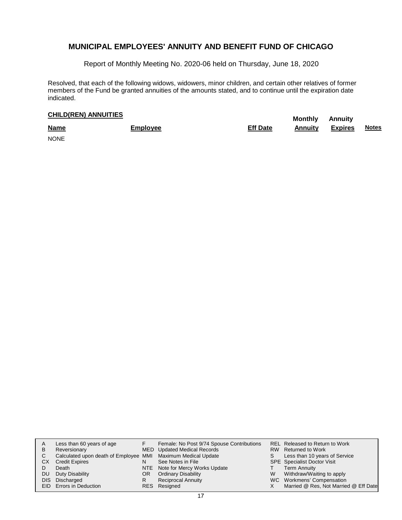Report of Monthly Meeting No. 2020-06 held on Thursday, June 18, 2020

Resolved, that each of the following widows, widowers, minor children, and certain other relatives of former members of the Fund be granted annuities of the amounts stated, and to continue until the expiration date indicated.

## **CHILD(REN) ANNUITIES Monthly Annuity**

| <b>Name</b> | <b>Employee</b> | <b>Eff Date</b> | <b>Annuity</b> | <b>Expires</b> | <b>Notes</b> |
|-------------|-----------------|-----------------|----------------|----------------|--------------|
| <b>NONE</b> |                 |                 |                |                |              |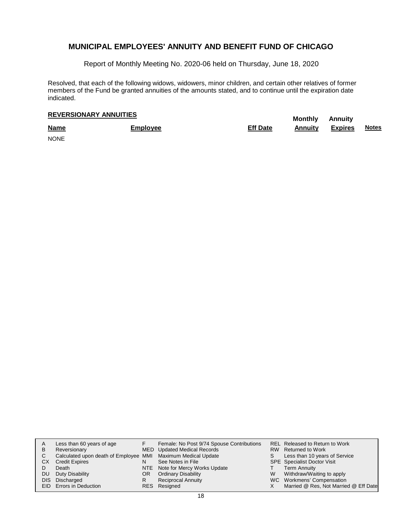Report of Monthly Meeting No. 2020-06 held on Thursday, June 18, 2020

Resolved, that each of the following widows, widowers, minor children, and certain other relatives of former members of the Fund be granted annuities of the amounts stated, and to continue until the expiration date indicated.

## **Monthly Annuity REVERSIONARY ANNUITIES**

| <b>Name</b> | Employee | <b>Eff Date</b> | <b>Annuity</b> | <b>Expires</b> | <b>Notes</b> |
|-------------|----------|-----------------|----------------|----------------|--------------|
| <b>NONE</b> |          |                 |                |                |              |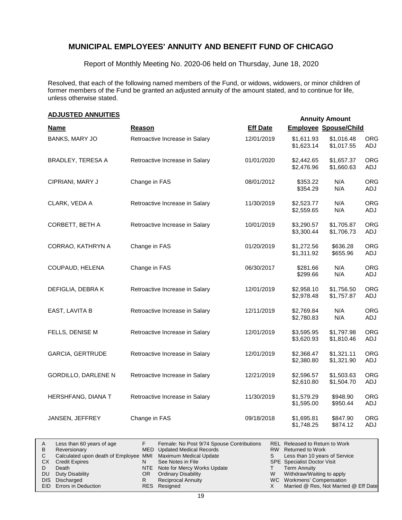Report of Monthly Meeting No. 2020-06 held on Thursday, June 18, 2020

Resolved, that each of the following named members of the Fund, or widows, widowers, or minor children of former members of the Fund be granted an adjusted annuity of the amount stated, and to continue for life, unless otherwise stated.

### **Annuity Amount ADJUSTED ANNUITIES**

|                            |                                |                 | Annuny Amount                |                          |                   |
|----------------------------|--------------------------------|-----------------|------------------------------|--------------------------|-------------------|
| <b>Name</b>                | Reason                         | <b>Eff Date</b> | <b>Employee Spouse/Child</b> |                          |                   |
| <b>BANKS, MARY JO</b>      | Retroactive Increase in Salary | 12/01/2019      | \$1,611.93<br>\$1,623.14     | \$1,016.48<br>\$1,017.55 | <b>ORG</b><br>ADJ |
| BRADLEY, TERESA A          | Retroactive Increase in Salary | 01/01/2020      | \$2,442.65<br>\$2,476.96     | \$1,657.37<br>\$1,660.63 | <b>ORG</b><br>ADJ |
| CIPRIANI, MARY J           | Change in FAS                  | 08/01/2012      | \$353.22<br>\$354.29         | N/A<br>N/A               | <b>ORG</b><br>ADJ |
| CLARK, VEDA A              | Retroactive Increase in Salary | 11/30/2019      | \$2,523.77<br>\$2,559.65     | N/A<br>N/A               | <b>ORG</b><br>ADJ |
| CORBETT, BETH A            | Retroactive Increase in Salary | 10/01/2019      | \$3,290.57<br>\$3,300.44     | \$1,705.87<br>\$1,706.73 | <b>ORG</b><br>ADJ |
| CORRAO, KATHRYN A          | Change in FAS                  | 01/20/2019      | \$1,272.56<br>\$1,311.92     | \$636.28<br>\$655.96     | <b>ORG</b><br>ADJ |
| COUPAUD, HELENA            | Change in FAS                  | 06/30/2017      | \$281.66<br>\$299.66         | N/A<br>N/A               | <b>ORG</b><br>ADJ |
| DEFIGLIA, DEBRAK           | Retroactive Increase in Salary | 12/01/2019      | \$2,958.10<br>\$2,978.48     | \$1,756.50<br>\$1,757.87 | <b>ORG</b><br>ADJ |
| EAST, LAVITA B             | Retroactive Increase in Salary | 12/11/2019      | \$2,769.84<br>\$2,780.83     | N/A<br>N/A               | ORG<br>ADJ        |
| FELLS, DENISE M            | Retroactive Increase in Salary | 12/01/2019      | \$3,595.95<br>\$3,620.93     | \$1,797.98<br>\$1,810.46 | <b>ORG</b><br>ADJ |
| <b>GARCIA, GERTRUDE</b>    | Retroactive Increase in Salary | 12/01/2019      | \$2,368.47<br>\$2,380.80     | \$1,321.11<br>\$1,321.90 | <b>ORG</b><br>ADJ |
| <b>GORDILLO, DARLENE N</b> | Retroactive Increase in Salary | 12/21/2019      | \$2,596.57<br>\$2,610.80     | \$1,503.63<br>\$1,504.70 | <b>ORG</b><br>ADJ |
| HERSHFANG, DIANA T         | Retroactive Increase in Salary | 11/30/2019      | \$1,579.29<br>\$1,595.00     | \$948.90<br>\$950.44     | <b>ORG</b><br>ADJ |
| JANSEN, JEFFREY            | Change in FAS                  | 09/18/2018      | \$1,695.81<br>\$1,748.25     | \$847.90<br>\$874.12     | <b>ORG</b><br>ADJ |

|    | Less than 60 years of age                                    |     | Female: No Post 9/74 Spouse Contributions |   | REL Released to Return to Work        |
|----|--------------------------------------------------------------|-----|-------------------------------------------|---|---------------------------------------|
| B  | Reversionary                                                 |     | MED Updated Medical Records               |   | RW Returned to Work                   |
|    | Calculated upon death of Employee MMI Maximum Medical Update |     |                                           |   | Less than 10 years of Service         |
| СX | <b>Credit Expires</b>                                        |     | See Notes in File                         |   | <b>SPE</b> Specialist Doctor Visit    |
|    | Death                                                        |     | NTE Note for Mercy Works Update           |   | <b>Term Annuity</b>                   |
| DU | Duty Disability                                              | OR. | <b>Ordinary Disability</b>                | W | Withdraw/Waiting to apply             |
|    | DIS Discharged                                               |     | Reciprocal Annuity                        |   | WC Workmens' Compensation             |
|    | EID Errors in Deduction                                      |     | RES Resigned                              |   | Married @ Res, Not Married @ Eff Date |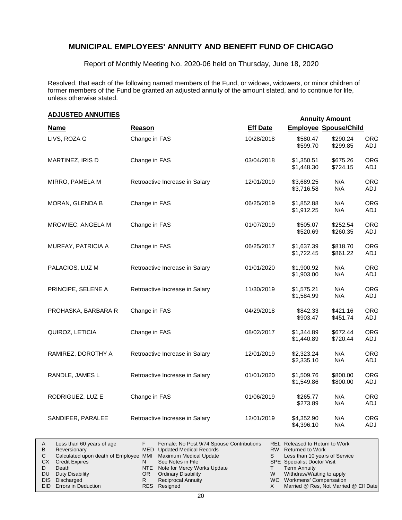Report of Monthly Meeting No. 2020-06 held on Thursday, June 18, 2020

Resolved, that each of the following named members of the Fund, or widows, widowers, or minor children of former members of the Fund be granted an adjusted annuity of the amount stated, and to continue for life, unless otherwise stated.

#### **Name Reason Eff Date Employee Spouse/Child Annuity Amount ADJUSTED ANNUITIES** LIVS, ROZA G Change in FAS 10/28/2018 \$580.47 \$599.70 \$290.24 \$299.85 ORG ADJ MARTINEZ, IRIS D Change in FAS 03/04/2018 \$1,350.51 \$1,448.30 \$675.26 \$724.15 ORG ADJ MIRRO, PAMELA M Retroactive Increase in Salary 12/01/2019 \$3,689.25 \$3,716.58 N/A N/A ORG ADJ MORAN, GLENDA B Change in FAS 06/25/2019 \$1,852.88 \$1,912.25 N/A N/A ORG ADJ MROWIEC, ANGELA M Change in FAS 01/07/2019 \$505.07 \$520.69 \$252.54 \$260.35 ORG ADJ MURFAY, PATRICIA A Change in FAS 06/25/2017 \$1,637.39 \$1,722.45 \$818.70 \$861.22 ORG ADJ PALACIOS, LUZ M Retroactive Increase in Salary 01/01/2020 \$1,900.92 \$1,903.00 N/A N/A ORG ADJ PRINCIPE, SELENE A Retroactive Increase in Salary 11/30/2019 \$1,575.21 \$1,584.99 N/A N/A ORG ADJ PROHASKA, BARBARA R Change in FAS 04/29/2018 \$842.33 \$903.47 \$421.16 \$451.74 ORG ADJ QUIROZ, LETICIA Change in FAS 08/02/2017 \$1,344.89 \$1,440.89 \$672.44 \$720.44 ORG ADJ RAMIREZ, DOROTHY A Retroactive Increase in Salary 12/01/2019 \$2,323.24 \$2,335.10 N/A N/A ORG ADJ RANDLE, JAMES L Retroactive Increase in Salary 01/01/2020 \$1,509.76 \$1,549.86 \$800.00 \$800.00 ORG ADJ RODRIGUEZ, LUZ E Change in FAS 01/06/2019 \$265.77 \$273.89 N/A N/A ORG ADJ SANDIFER, PARALEE Retroactive Increase in Salary 12/01/2019 \$4,352.90 \$4,396.10 N/A N/A ORG ADJ

|           | Less than 60 years of age                                    |     | Female: No Post 9/74 Spouse Contributions |   | REL Released to Return to Work        |
|-----------|--------------------------------------------------------------|-----|-------------------------------------------|---|---------------------------------------|
| B         | Reversionary                                                 |     | MED Updated Medical Records               |   | RW Returned to Work                   |
|           | Calculated upon death of Employee MMI Maximum Medical Update |     |                                           |   | Less than 10 years of Service         |
| <b>CX</b> | <b>Credit Expires</b>                                        |     | See Notes in File                         |   | SPE Specialist Doctor Visit           |
|           | Death                                                        |     | NTE Note for Mercy Works Update           |   | <b>Term Annuity</b>                   |
| DU.       | Duty Disability                                              | OR. | <b>Ordinary Disability</b>                | W | Withdraw/Waiting to apply             |
|           | DIS Discharged                                               |     | Reciprocal Annuity                        |   | WC Workmens' Compensation             |
|           | <b>EID</b> Errors in Deduction                               |     | RES Resigned                              |   | Married @ Res, Not Married @ Eff Date |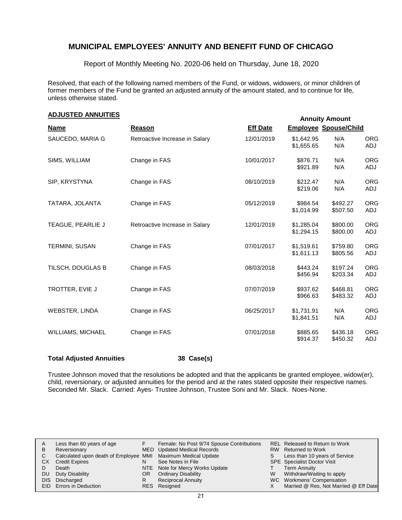Report of Monthly Meeting No. 2020-06 held on Thursday, June 18, 2020

Resolved, that each of the following named members of the Fund, or widows, widowers, or minor children of former members of the Fund be granted an adjusted annuity of the amount stated, and to continue for life, unless otherwise stated.

#### **Annuity Amount ADJUSTED ANNUITIES**

|                       |                                |                 | <b>Annuity Amount</b>        |                      |                   |  |
|-----------------------|--------------------------------|-----------------|------------------------------|----------------------|-------------------|--|
| <b>Name</b>           | Reason                         | <b>Eff Date</b> | <b>Employee Spouse/Child</b> |                      |                   |  |
| SAUCEDO, MARIA G      | Retroactive Increase in Salary | 12/01/2019      | \$1,642.95<br>\$1,655.65     | N/A<br>N/A           | <b>ORG</b><br>ADJ |  |
| SIMS, WILLIAM         | Change in FAS                  | 10/01/2017      | \$876.71<br>\$921.89         | N/A<br>N/A           | <b>ORG</b><br>ADJ |  |
| SIP, KRYSTYNA         | Change in FAS                  | 08/10/2019      | \$212.47<br>\$219.06         | N/A<br>N/A           | <b>ORG</b><br>ADJ |  |
| TATARA, JOLANTA       | Change in FAS                  | 05/12/2019      | \$984.54<br>\$1,014.99       | \$492.27<br>\$507.50 | <b>ORG</b><br>ADJ |  |
| TEAGUE, PEARLIE J     | Retroactive Increase in Salary | 12/01/2019      | \$1,285.04<br>\$1,294.15     | \$800.00<br>\$800.00 | <b>ORG</b><br>ADJ |  |
| <b>TERMINI, SUSAN</b> | Change in FAS                  | 07/01/2017      | \$1,519.61<br>\$1,611.13     | \$759.80<br>\$805.56 | <b>ORG</b><br>ADJ |  |
| TILSCH, DOUGLAS B     | Change in FAS                  | 08/03/2018      | \$443.24<br>\$456.94         | \$197.24<br>\$203.34 | <b>ORG</b><br>ADJ |  |
| TROTTER, EVIE J       | Change in FAS                  | 07/07/2019      | \$937.62<br>\$966.63         | \$468.81<br>\$483.32 | <b>ORG</b><br>ADJ |  |
| WEBSTER, LINDA        | Change in FAS                  | 06/25/2017      | \$1,731.91<br>\$1,841.51     | N/A<br>N/A           | <b>ORG</b><br>ADJ |  |
| WILLIAMS, MICHAEL     | Change in FAS                  | 07/01/2018      | \$885.65<br>\$914.37         | \$436.18<br>\$450.32 | <b>ORG</b><br>ADJ |  |

#### **Total Adjusted Annuities 38 Case(s)**

Trustee Johnson moved that the resolutions be adopted and that the applicants be granted employee, widow(er), child, reversionary, or adjusted annuities for the period and at the rates stated opposite their respective names. Seconded Mr. Slack. Carried: Ayes- Trustee Johnson, Trustee Soni and Mr. Slack. Noes-None.

|    | Less than 60 years of age                                    |    | Female: No Post 9/74 Spouse Contributions |   | <b>REL Released to Return to Work</b> |
|----|--------------------------------------------------------------|----|-------------------------------------------|---|---------------------------------------|
| В  | Reversionary                                                 |    | MED Updated Medical Records               |   | RW Returned to Work                   |
|    | Calculated upon death of Employee MMI Maximum Medical Update |    |                                           |   | Less than 10 years of Service         |
| СX | <b>Credit Expires</b>                                        |    | See Notes in File                         |   | <b>SPE</b> Specialist Doctor Visit    |
|    | Death                                                        |    | NTE Note for Mercy Works Update           |   | <b>Term Annuity</b>                   |
| DU | Duty Disability                                              | OR | <b>Ordinary Disability</b>                | w | Withdraw/Waiting to apply             |
|    | DIS Discharged                                               |    | <b>Reciprocal Annuity</b>                 |   | WC Workmens' Compensation             |
|    | <b>EID</b> Errors in Deduction                               |    | RES Resigned                              |   | Married @ Res, Not Married @ Eff Date |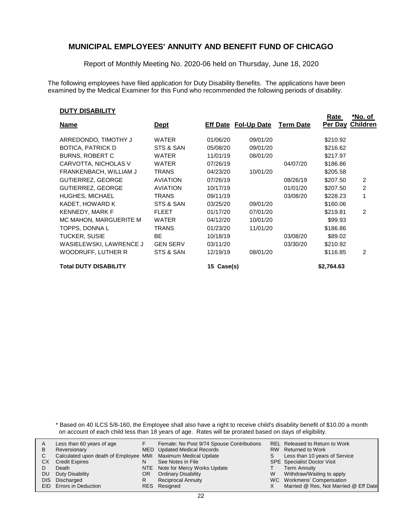Report of Monthly Meeting No. 2020-06 held on Thursday, June 18, 2020

The following employees have filed application for Duty Disability Benefits. The applications have been examined by the Medical Examiner for this Fund who recommended the following periods of disability.

#### **DUTY DISABILITY**

|                          |                 |          |                             |                  | Rate     | *No. of  |
|--------------------------|-----------------|----------|-----------------------------|------------------|----------|----------|
| <u>Name</u>              | <b>Dept</b>     |          | <b>Eff Date Fol-Up Date</b> | <b>Term Date</b> | Per Day  | Children |
| ARREDONDO, TIMOTHY J     | WATER           | 01/06/20 | 09/01/20                    |                  | \$210.92 |          |
| BOTICA, PATRICK D        | STS & SAN       | 05/08/20 | 09/01/20                    |                  | \$216.62 |          |
| <b>BURNS, ROBERT C</b>   | <b>WATER</b>    | 11/01/19 | 08/01/20                    |                  | \$217.97 |          |
| CARVOTTA, NICHOLAS V     | <b>WATER</b>    | 07/26/19 |                             | 04/07/20         | \$186.86 |          |
| FRANKENBACH, WILLIAM J   | TRANS           | 04/23/20 | 10/01/20                    |                  | \$205.58 |          |
| <b>GUTIERREZ, GEORGE</b> | <b>AVIATION</b> | 07/26/19 |                             | 08/26/19         | \$207.50 | 2        |
| <b>GUTIERREZ, GEORGE</b> | <b>AVIATION</b> | 10/17/19 |                             | 01/01/20         | \$207.50 | 2        |
| <b>HUGHES, MICHAEL</b>   | TRANS           | 09/11/19 |                             | 03/08/20         | \$228.23 |          |
| KADET, HOWARD K          | STS & SAN       | 03/25/20 | 09/01/20                    |                  | \$160.06 |          |
| <b>KENNEDY, MARK F</b>   | <b>FLEET</b>    | 01/17/20 | 07/01/20                    |                  | \$219.81 | 2        |
| MC MAHON, MARGUERITE M   | <b>WATER</b>    | 04/12/20 | 10/01/20                    |                  | \$99.93  |          |
| TOPPS, DONNA L           | <b>TRANS</b>    | 01/23/20 | 11/01/20                    |                  | \$186.86 |          |
| <b>TUCKER, SUSIE</b>     | BE.             | 10/18/19 |                             | 03/08/20         | \$89.02  |          |
| WASIELEWSKI, LAWRENCE J  | <b>GEN SERV</b> | 03/11/20 |                             | 03/30/20         | \$210.92 |          |
| WOODRUFF, LUTHER R       | STS & SAN       | 12/19/19 | 08/01/20                    |                  | \$116.85 | 2        |

**Total DUTY DISABILITY 15 Case(s) \$2,764.63**

\* Based on 40 ILCS 5/8-160, the Employee shall also have a right to receive child's disability benefit of \$10.00 a month on account of each child less than 18 years of age. Rates will be prorated based on days of eligibility.

|    | Less than 60 years of age                                    |     | Female: No Post 9/74 Spouse Contributions |   | <b>REL Released to Return to Work</b> |
|----|--------------------------------------------------------------|-----|-------------------------------------------|---|---------------------------------------|
| В  | Reversionary                                                 |     | <b>MED</b> Updated Medical Records        |   | RW Returned to Work                   |
|    | Calculated upon death of Employee MMI Maximum Medical Update |     |                                           |   | Less than 10 years of Service         |
| CХ | <b>Credit Expires</b>                                        |     | See Notes in File                         |   | <b>SPE</b> Specialist Doctor Visit    |
|    | Death                                                        |     | NTE Note for Mercy Works Update           |   | <b>Term Annuity</b>                   |
| DU | Duty Disability                                              | OR. | <b>Ordinary Disability</b>                | W | Withdraw/Waiting to apply             |
|    | DIS Discharged                                               |     | <b>Reciprocal Annuity</b>                 |   | WC Workmens' Compensation             |
|    | <b>EID</b> Errors in Deduction                               |     | RES Resigned                              |   | Married @ Res, Not Married @ Eff Date |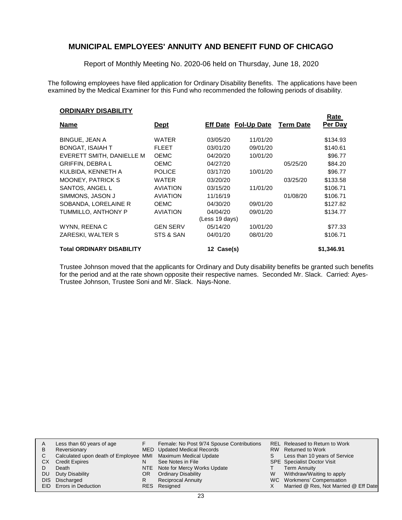Report of Monthly Meeting No. 2020-06 held on Thursday, June 18, 2020

The following employees have filed application for Ordinary Disability Benefits. The applications have been examined by the Medical Examiner for this Fund who recommended the following periods of disability.

**Rate**

#### **ORDINARY DISABILITY**

| <b>Name</b>                      | <u>Dept</u>     |                | Eff Date Fol-Up Date | <b>Term Date</b> | nalt<br>Per Day |
|----------------------------------|-----------------|----------------|----------------------|------------------|-----------------|
| <b>BINGUE, JEAN A</b>            | <b>WATER</b>    | 03/05/20       | 11/01/20             |                  | \$134.93        |
| <b>BONGAT, ISAIAH T</b>          | <b>FLEET</b>    | 03/01/20       | 09/01/20             |                  | \$140.61        |
| EVERETT SMITH, DANIELLE M        | <b>OEMC</b>     | 04/20/20       | 10/01/20             |                  | \$96.77         |
| <b>GRIFFIN, DEBRAL</b>           | <b>OEMC</b>     | 04/27/20       |                      | 05/25/20         | \$84.20         |
| KULBIDA, KENNETH A               | <b>POLICE</b>   | 03/17/20       | 10/01/20             |                  | \$96.77         |
| <b>MOONEY, PATRICK S</b>         | <b>WATER</b>    | 03/20/20       |                      | 03/25/20         | \$133.58        |
| SANTOS, ANGEL L                  | <b>AVIATION</b> | 03/15/20       | 11/01/20             |                  | \$106.71        |
| SIMMONS, JASON J                 | <b>AVIATION</b> | 11/16/19       |                      | 01/08/20         | \$106.71        |
| SOBANDA, LORELAINE R             | <b>OEMC</b>     | 04/30/20       | 09/01/20             |                  | \$127.82        |
| TUMMILLO, ANTHONY P              | <b>AVIATION</b> | 04/04/20       | 09/01/20             |                  | \$134.77        |
|                                  |                 | (Less 19 days) |                      |                  |                 |
| WYNN, REENA C                    | <b>GEN SERV</b> | 05/14/20       | 10/01/20             |                  | \$77.33         |
| ZARESKI, WALTER S                | STS & SAN       | 04/01/20       | 08/01/20             |                  | \$106.71        |
| <b>Total ORDINARY DISABILITY</b> |                 | 12 Case(s)     |                      |                  | \$1,346.91      |

Trustee Johnson moved that the applicants for Ordinary and Duty disability benefits be granted such benefits for the period and at the rate shown opposite their respective names. Seconded Mr. Slack. Carried: Ayes-Trustee Johnson, Trustee Soni and Mr. Slack. Nays-None.

| А   | Less than 60 years of age                                    |     | Female: No Post 9/74 Spouse Contributions |   | <b>REL Released to Return to Work</b> |
|-----|--------------------------------------------------------------|-----|-------------------------------------------|---|---------------------------------------|
| В   | Reversionary                                                 |     | MED Updated Medical Records               |   | RW Returned to Work                   |
|     | Calculated upon death of Employee MMI Maximum Medical Update |     |                                           |   | Less than 10 years of Service         |
| CХ  | <b>Credit Expires</b>                                        |     | See Notes in File                         |   | <b>SPE</b> Specialist Doctor Visit    |
|     | Death                                                        |     | NTE Note for Mercy Works Update           |   | Term Annuity                          |
| DU. | Duty Disability                                              | OR. | <b>Ordinary Disability</b>                | W | Withdraw/Waiting to apply             |
|     | DIS Discharged                                               |     | <b>Reciprocal Annuity</b>                 |   | WC Workmens' Compensation             |
|     | EID Errors in Deduction                                      |     | RES Resigned                              |   | Married @ Res, Not Married @ Eff Date |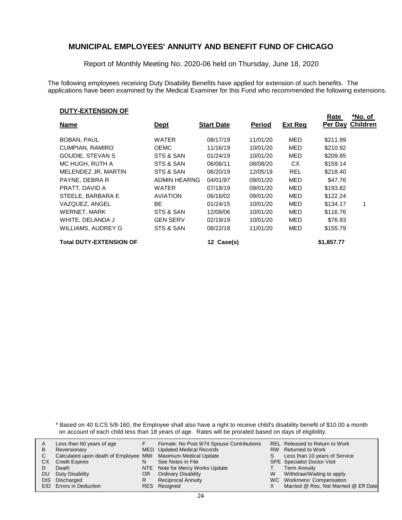Report of Monthly Meeting No. 2020-06 held on Thursday, June 18, 2020

The following employees receiving Duty Disability Benefits have applied for extension of such benefits. The applications have been examined by the Medical Examiner for this Fund who recommended the following extensions.

#### **DUTY-EXTENSION OF**

|                                |                     |                   |               |                | Rate       | *No. of         |
|--------------------------------|---------------------|-------------------|---------------|----------------|------------|-----------------|
| <b>Name</b>                    | <u>Dept</u>         | <b>Start Date</b> | <b>Period</b> | <b>Ext Req</b> | Per Day    | <b>Children</b> |
| <b>BOBAN, PAUL</b>             | <b>WATER</b>        | 08/17/19          | 11/01/20      | MED            | \$211.99   |                 |
| CUMPIAN, RAMIRO                | <b>OEMC</b>         | 11/16/19          | 10/01/20      | MED            | \$210.92   |                 |
| GOUDIE, STEVAN S               | STS & SAN           | 01/24/19          | 10/01/20      | MED            | \$209.85   |                 |
| MC HUGH, RUTH A                | STS & SAN           | 06/06/11          | 08/08/20      | <b>CX</b>      | \$159.14   |                 |
| MELENDEZ JR, MARTIN            | STS & SAN           | 06/20/19          | 12/05/19      | <b>REL</b>     | \$218.40   |                 |
| PAYNE, DEBRA R                 | <b>ADMIN HEARNG</b> | 04/01/97          | 09/01/20      | MED            | \$47.76    |                 |
| PRATT, DAVID A                 | WATER               | 07/18/19          | 09/01/20      | MED            | \$193.82   |                 |
| STEELE, BARBARA E              | <b>AVIATION</b>     | 06/16/02          | 09/01/20      | MED            | \$122.24   |                 |
| VAZQUEZ, ANGEL                 | BE.                 | 01/24/15          | 10/01/20      | MED            | \$134.17   | 1               |
| WERNET, MARK                   | STS & SAN           | 12/08/06          | 10/01/20      | MED            | \$116.76   |                 |
| WHITE, DELANDA J               | <b>GEN SERV</b>     | 02/19/19          | 10/01/20      | MED            | \$76.93    |                 |
| <b>WILLIAMS, AUDREY G</b>      | STS & SAN           | 08/22/18          | 11/01/20      | MED            | \$155.79   |                 |
| <b>Total DUTY-EXTENSION OF</b> |                     | 12 Case(s)        |               |                | \$1,857.77 |                 |

\* Based on 40 ILCS 5/8-160, the Employee shall also have a right to receive child's disability benefit of \$10.00 a month on account of each child less than 18 years of age. Rates will be prorated based on days of eligibility.

| В  | Less than 60 years of age<br>Reversionary                    |     | Female: No Post 9/74 Spouse Contributions<br><b>MED</b> Updated Medical Records |   | REL Released to Return to Work<br>RW Returned to Work |
|----|--------------------------------------------------------------|-----|---------------------------------------------------------------------------------|---|-------------------------------------------------------|
|    | Calculated upon death of Employee MMI Maximum Medical Update |     |                                                                                 |   | Less than 10 years of Service                         |
| CХ | <b>Credit Expires</b>                                        |     | See Notes in File                                                               |   | <b>SPE</b> Specialist Doctor Visit                    |
|    | Death                                                        |     | NTE Note for Mercy Works Update                                                 |   | Term Annuity                                          |
| DU | Duty Disability                                              | OR. | <b>Ordinary Disability</b>                                                      | W | Withdraw/Waiting to apply                             |
|    | DIS Discharged                                               |     | <b>Reciprocal Annuity</b>                                                       |   | WC Workmens' Compensation                             |
|    | <b>EID</b> Errors in Deduction                               |     | RES Resigned                                                                    |   | Married @ Res, Not Married @ Eff Date                 |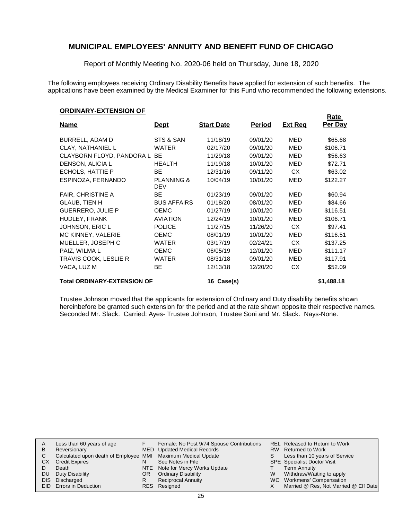Report of Monthly Meeting No. 2020-06 held on Thursday, June 18, 2020

The following employees receiving Ordinary Disability Benefits have applied for extension of such benefits. The applications have been examined by the Medical Examiner for this Fund who recommended the following extensions.

#### **ORDINARY-EXTENSION OF**

|                                    |                                     |                   |               |                | Rate       |
|------------------------------------|-------------------------------------|-------------------|---------------|----------------|------------|
| <u>Name</u>                        | <u>Dept</u>                         | <b>Start Date</b> | <b>Period</b> | <b>Ext Req</b> | Per Day    |
| BURRELL, ADAM D                    | STS & SAN                           | 11/18/19          | 09/01/20      | <b>MED</b>     | \$65.68    |
| <b>CLAY, NATHANIEL L</b>           | <b>WATER</b>                        | 02/17/20          | 09/01/20      | <b>MED</b>     | \$106.71   |
| CLAYBORN FLOYD, PANDORA L          | <b>BE</b>                           | 11/29/18          | 09/01/20      | <b>MED</b>     | \$56.63    |
| DENSON, ALICIA L                   | <b>HEALTH</b>                       | 11/19/18          | 10/01/20      | <b>MED</b>     | \$72.71    |
| ECHOLS, HATTIE P                   | <b>BE</b>                           | 12/31/16          | 09/11/20      | <b>CX</b>      | \$63.02    |
| ESPINOZA, FERNANDO                 | <b>PLANNING &amp;</b><br><b>DEV</b> | 10/04/19          | 10/01/20      | MED            | \$122.27   |
| <b>FAIR, CHRISTINE A</b>           | BE.                                 | 01/23/19          | 09/01/20      | <b>MED</b>     | \$60.94    |
| <b>GLAUB, TIEN H</b>               | <b>BUS AFFAIRS</b>                  | 01/18/20          | 08/01/20      | <b>MED</b>     | \$84.66    |
| <b>GUERRERO, JULIE P</b>           | <b>OEMC</b>                         | 01/27/19          | 10/01/20      | <b>MED</b>     | \$116.51   |
| HUDLEY, FRANK                      | <b>AVIATION</b>                     | 12/24/19          | 10/01/20      | <b>MED</b>     | \$106.71   |
| JOHNSON, ERIC L                    | <b>POLICE</b>                       | 11/27/15          | 11/26/20      | CX.            | \$97.41    |
| MC KINNEY, VALERIE                 | <b>OEMC</b>                         | 08/01/19          | 10/01/20      | MED            | \$116.51   |
| MUELLER, JOSEPH C                  | <b>WATER</b>                        | 03/17/19          | 02/24/21      | <b>CX</b>      | \$137.25   |
| PAIZ, WILMA L                      | <b>OEMC</b>                         | 06/05/19          | 12/01/20      | <b>MED</b>     | \$111.17   |
| TRAVIS COOK, LESLIE R              | <b>WATER</b>                        | 08/31/18          | 09/01/20      | MED            | \$117.91   |
| VACA, LUZ M                        | BE                                  | 12/13/18          | 12/20/20      | CX             | \$52.09    |
| <b>Total ORDINARY-EXTENSION OF</b> |                                     | 16 Case(s)        |               |                | \$1,488.18 |

Trustee Johnson moved that the applicants for extension of Ordinary and Duty disability benefits shown hereinbefore be granted such extension for the period and at the rate shown opposite their respective names. Seconded Mr. Slack. Carried: Ayes- Trustee Johnson, Trustee Soni and Mr. Slack. Nays-None.

| A  | Less than 60 years of age                                    |     | Female: No Post 9/74 Spouse Contributions |   | <b>REL Released to Return to Work</b> |
|----|--------------------------------------------------------------|-----|-------------------------------------------|---|---------------------------------------|
| В  | Reversionary                                                 |     | MED Updated Medical Records               |   | RW Returned to Work                   |
|    | Calculated upon death of Employee MMI Maximum Medical Update |     |                                           |   | Less than 10 years of Service         |
| СX | <b>Credit Expires</b>                                        |     | See Notes in File                         |   | SPE Specialist Doctor Visit           |
|    | Death                                                        |     | NTE Note for Mercy Works Update           |   | Term Annuity                          |
| DU | Duty Disability                                              | OR. | <b>Ordinary Disability</b>                | W | Withdraw/Waiting to apply             |
|    | DIS Discharged                                               |     | <b>Reciprocal Annuity</b>                 |   | WC Workmens' Compensation             |
|    | <b>EID</b> Errors in Deduction                               |     | RES Resigned                              |   | Married @ Res, Not Married @ Eff Date |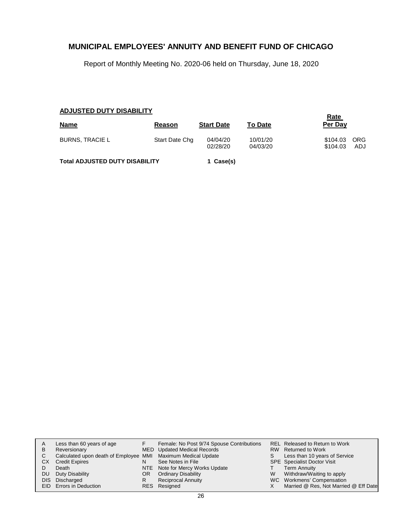Report of Monthly Meeting No. 2020-06 held on Thursday, June 18, 2020

### **ADJUSTED DUTY DISABILITY**

| <b>Name</b>                           | Reason         | <b>Start Date</b>    | <b>To Date</b>       | <u>Rate</u><br>Per Day |                   |
|---------------------------------------|----------------|----------------------|----------------------|------------------------|-------------------|
| <b>BURNS, TRACIE L</b>                | Start Date Chg | 04/04/20<br>02/28/20 | 10/01/20<br>04/03/20 | \$104.03<br>\$104.03   | <b>ORG</b><br>ADJ |
| <b>Total ADJUSTED DUTY DISABILITY</b> |                | 1 Case(s)            |                      |                        |                   |

|           | Less than 60 years of age                                    |     | Female: No Post 9/74 Spouse Contributions |   | <b>REL Released to Return to Work</b> |
|-----------|--------------------------------------------------------------|-----|-------------------------------------------|---|---------------------------------------|
| В         | Reversionary                                                 |     | MED Updated Medical Records               |   | RW Returned to Work                   |
|           | Calculated upon death of Employee MMI Maximum Medical Update |     |                                           |   | Less than 10 years of Service         |
| CХ        | <b>Credit Expires</b>                                        |     | See Notes in File                         |   | <b>SPE</b> Specialist Doctor Visit    |
|           | Death                                                        |     | NTE Note for Mercy Works Update           |   | <b>Term Annuity</b>                   |
| <b>DU</b> | Duty Disability                                              | OR. | <b>Ordinary Disability</b>                | W | Withdraw/Waiting to apply             |
|           | DIS Discharged                                               |     | <b>Reciprocal Annuity</b>                 |   | WC Workmens' Compensation             |
|           | EID Errors in Deduction                                      |     | RES Resigned                              |   | Married @ Res, Not Married @ Eff Date |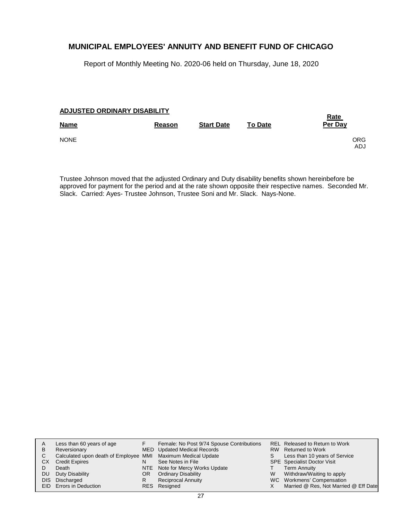Report of Monthly Meeting No. 2020-06 held on Thursday, June 18, 2020

### **ADJUSTED ORDINARY DISABILITY**

| Reason | <b>Start Date</b> | <b>To Date</b> | <b>Rate</b><br>Per Day |
|--------|-------------------|----------------|------------------------|
|        |                   |                | <b>ORG</b><br>ADJ.     |
|        |                   |                |                        |

Trustee Johnson moved that the adjusted Ordinary and Duty disability benefits shown hereinbefore be approved for payment for the period and at the rate shown opposite their respective names. Seconded Mr. Slack. Carried: Ayes- Trustee Johnson, Trustee Soni and Mr. Slack. Nays-None.

|     | Less than 60 years of age                                    |     | Female: No Post 9/74 Spouse Contributions |   | REL Released to Return to Work        |
|-----|--------------------------------------------------------------|-----|-------------------------------------------|---|---------------------------------------|
| B   | Reversionary                                                 |     | MED Updated Medical Records               |   | RW Returned to Work                   |
|     | Calculated upon death of Employee MMI Maximum Medical Update |     |                                           |   | Less than 10 years of Service         |
| СX  | <b>Credit Expires</b>                                        | N   | See Notes in File                         |   | <b>SPE</b> Specialist Doctor Visit    |
|     | Death                                                        |     | NTE Note for Mercy Works Update           |   | Term Annuity                          |
| DU. | Duty Disability                                              | OR. | <b>Ordinary Disability</b>                | W | Withdraw/Waiting to apply             |
|     | DIS Discharged                                               |     | <b>Reciprocal Annuity</b>                 |   | WC Workmens' Compensation             |
|     | EID Errors in Deduction                                      |     | RES Resigned                              |   | Married @ Res, Not Married @ Eff Date |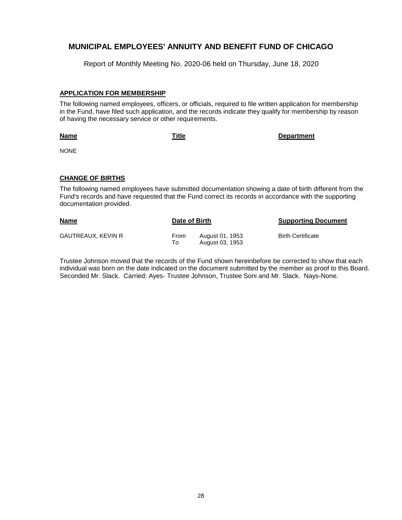Report of Monthly Meeting No. 2020-06 held on Thursday, June 18, 2020

#### **APPLICATION FOR MEMBERSHIP**

The following named employees, officers, or officials, required to file written application for membership in the Fund, have filed such application, and the records indicate they qualify for membership by reason of having the necessary service or other requirements.

**Name**

**Title Department**

NONE

#### **CHANGE OF BIRTHS**

The following named employees have submitted documentation showing a date of birth different from the Fund's records and have requested that the Fund correct its records in accordance with the supporting documentation provided.

| <b>Name</b>        | Date of Birth |                                    | <b>Supporting Document</b> |  |
|--------------------|---------------|------------------------------------|----------------------------|--|
| GAUTREAUX, KEVIN R | From<br>To    | August 01, 1953<br>August 03, 1953 | <b>Birth Certificate</b>   |  |

Trustee Johnson moved that the records of the Fund shown hereinbefore be corrected to show that each individual was born on the date indicated on the document submitted by the member as proof to this Board. Seconded Mr. Slack. Carried: Ayes- Trustee Johnson, Trustee Soni and Mr. Slack. Nays-None.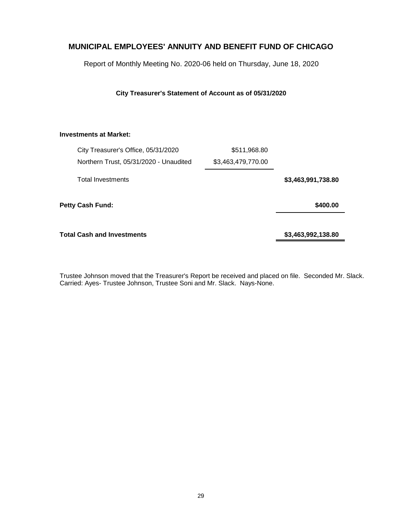Report of Monthly Meeting No. 2020-06 held on Thursday, June 18, 2020

**City Treasurer's Statement of Account as of 05/31/2020**

### **Investments at Market:**

| City Treasurer's Office, 05/31/2020    |  | \$511,968.80       |                    |
|----------------------------------------|--|--------------------|--------------------|
| Northern Trust, 05/31/2020 - Unaudited |  | \$3,463,479,770.00 |                    |
| <b>Total Investments</b>               |  |                    | \$3,463,991,738.80 |
| <b>Petty Cash Fund:</b>                |  |                    | \$400.00           |
| Total Cash and Investments             |  |                    | \$3,463,992,138.80 |

Trustee Johnson moved that the Treasurer's Report be received and placed on file. Seconded Mr. Slack. Carried: Ayes- Trustee Johnson, Trustee Soni and Mr. Slack. Nays-None.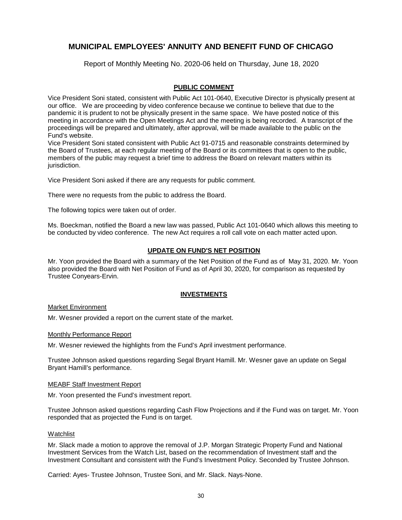Report of Monthly Meeting No. 2020-06 held on Thursday, June 18, 2020

### **PUBLIC COMMENT**

Vice President Soni stated, consistent with Public Act 101-0640, Executive Director is physically present at our office. We are proceeding by video conference because we continue to believe that due to the pandemic it is prudent to not be physically present in the same space. We have posted notice of this meeting in accordance with the Open Meetings Act and the meeting is being recorded. A transcript of the proceedings will be prepared and ultimately, after approval, will be made available to the public on the Fund's website.

Vice President Soni stated consistent with Public Act 91-0715 and reasonable constraints determined by the Board of Trustees, at each regular meeting of the Board or its committees that is open to the public, members of the public may request a brief time to address the Board on relevant matters within its jurisdiction.

Vice President Soni asked if there are any requests for public comment.

There were no requests from the public to address the Board.

The following topics were taken out of order.

Ms. Boeckman, notified the Board a new law was passed, Public Act 101-0640 which allows this meeting to be conducted by video conference. The new Act requires a roll call vote on each matter acted upon.

#### **UPDATE ON FUND'S NET POSITION**

Mr. Yoon provided the Board with a summary of the Net Position of the Fund as of May 31, 2020. Mr. Yoon also provided the Board with Net Position of Fund as of April 30, 2020, for comparison as requested by Trustee Conyears-Ervin.

#### **INVESTMENTS**

#### Market Environment

Mr. Wesner provided a report on the current state of the market.

#### Monthly Performance Report

Mr. Wesner reviewed the highlights from the Fund's April investment performance.

Trustee Johnson asked questions regarding Segal Bryant Hamill. Mr. Wesner gave an update on Segal Bryant Hamill's performance.

#### MEABF Staff Investment Report

Mr. Yoon presented the Fund's investment report.

Trustee Johnson asked questions regarding Cash Flow Projections and if the Fund was on target. Mr. Yoon responded that as projected the Fund is on target.

#### Watchlist

Mr. Slack made a motion to approve the removal of J.P. Morgan Strategic Property Fund and National Investment Services from the Watch List, based on the recommendation of Investment staff and the Investment Consultant and consistent with the Fund's Investment Policy. Seconded by Trustee Johnson.

Carried: Ayes- Trustee Johnson, Trustee Soni, and Mr. Slack. Nays-None.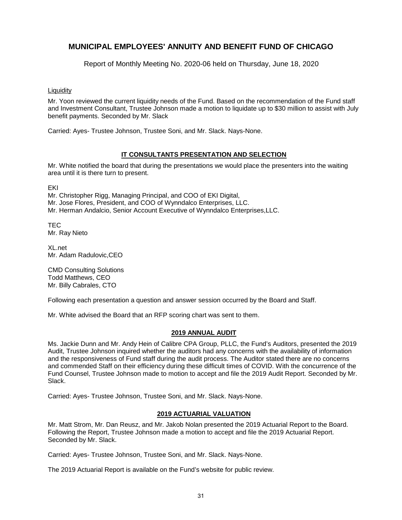Report of Monthly Meeting No. 2020-06 held on Thursday, June 18, 2020

**Liquidity** 

Mr. Yoon reviewed the current liquidity needs of the Fund. Based on the recommendation of the Fund staff and Investment Consultant, Trustee Johnson made a motion to liquidate up to \$30 million to assist with July benefit payments. Seconded by Mr. Slack

Carried: Ayes- Trustee Johnson, Trustee Soni, and Mr. Slack. Nays-None.

### **IT CONSULTANTS PRESENTATION AND SELECTION**

Mr. White notified the board that during the presentations we would place the presenters into the waiting area until it is there turn to present.

EKI

Mr. Christopher Rigg, Managing Principal, and COO of EKI Digital, Mr. Jose Flores, President, and COO of Wynndalco Enterprises, LLC. Mr. Herman Andalcio, Senior Account Executive of Wynndalco Enterprises,LLC.

**TEC** Mr. Ray Nieto

XL.net Mr. Adam Radulovic,CEO

CMD Consulting Solutions Todd Matthews, CEO Mr. Billy Cabrales, CTO

Following each presentation a question and answer session occurred by the Board and Staff.

Mr. White advised the Board that an RFP scoring chart was sent to them.

#### **2019 ANNUAL AUDIT**

Ms. Jackie Dunn and Mr. Andy Hein of Calibre CPA Group, PLLC, the Fund's Auditors, presented the 2019 Audit, Trustee Johnson inquired whether the auditors had any concerns with the availability of information and the responsiveness of Fund staff during the audit process. The Auditor stated there are no concerns and commended Staff on their efficiency during these difficult times of COVID. With the concurrence of the Fund Counsel, Trustee Johnson made to motion to accept and file the 2019 Audit Report. Seconded by Mr. Slack.

Carried: Ayes- Trustee Johnson, Trustee Soni, and Mr. Slack. Nays-None.

### **2019 ACTUARIAL VALUATION**

Mr. Matt Strom, Mr. Dan Reusz, and Mr. Jakob Nolan presented the 2019 Actuarial Report to the Board. Following the Report, Trustee Johnson made a motion to accept and file the 2019 Actuarial Report. Seconded by Mr. Slack.

Carried: Ayes- Trustee Johnson, Trustee Soni, and Mr. Slack. Nays-None.

The 2019 Actuarial Report is available on the Fund's website for public review.